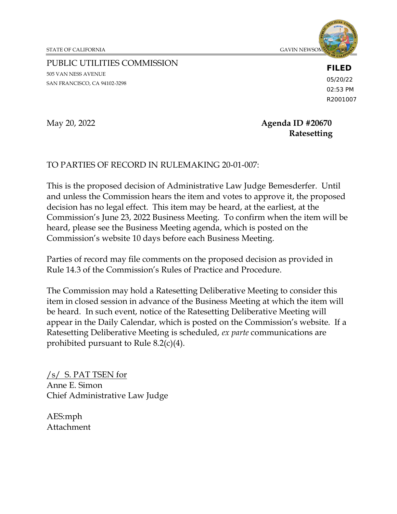STATE OF CALIFORNIA GAVIN NEWSOM, **GAVIN NEWSOM, GAVIN NEWSO** 



PUBLIC UTILITIES COMMISSION 505 VAN NESS AVENUE SAN FRANCISCO, CA 94102-3298

**FILED**

05/20/22 02:53 PM R2001007

### May 20, 2022 **Agenda ID #20670 Ratesetting**

# TO PARTIES OF RECORD IN RULEMAKING 20-01-007:

This is the proposed decision of Administrative Law Judge Bemesderfer. Until and unless the Commission hears the item and votes to approve it, the proposed decision has no legal effect. This item may be heard, at the earliest, at the Commission's June 23, 2022 Business Meeting. To confirm when the item will be heard, please see the Business Meeting agenda, which is posted on the Commission's website 10 days before each Business Meeting.

Parties of record may file comments on the proposed decision as provided in Rule 14.3 of the Commission's Rules of Practice and Procedure.

The Commission may hold a Ratesetting Deliberative Meeting to consider this item in closed session in advance of the Business Meeting at which the item will be heard. In such event, notice of the Ratesetting Deliberative Meeting will appear in the Daily Calendar, which is posted on the Commission's website. If a Ratesetting Deliberative Meeting is scheduled, *ex parte* communications are prohibited pursuant to Rule 8.2(c)(4).

/s/ S. PAT TSEN for Anne E. Simon Chief Administrative Law Judge

AES:mph Attachment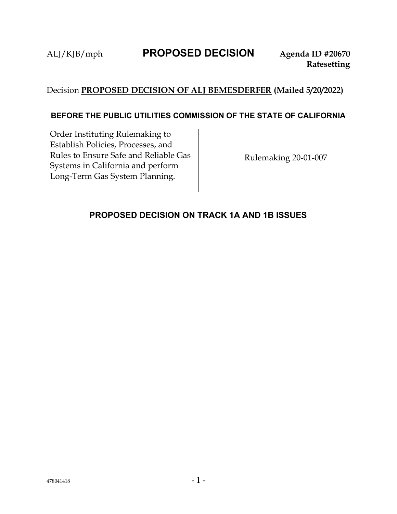# Decision **PROPOSED DECISION OF ALJ BEMESDERFER (Mailed 5/20/2022)**

#### **BEFORE THE PUBLIC UTILITIES COMMISSION OF THE STATE OF CALIFORNIA**

Order Instituting Rulemaking to Establish Policies, Processes, and Rules to Ensure Safe and Reliable Gas Systems in California and perform Long-Term Gas System Planning.

Rulemaking 20-01-007

### <span id="page-1-0"></span>**PROPOSED DECISION ON TRACK 1A AND 1B ISSUES**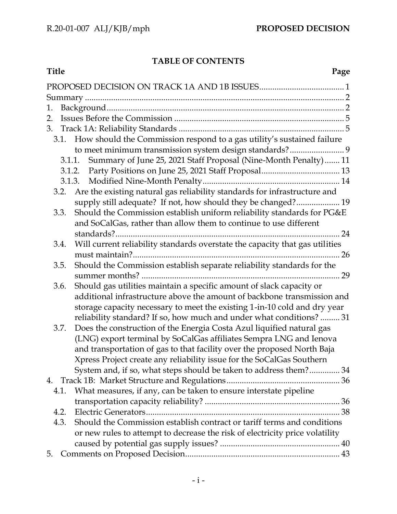# **TABLE OF CONTENTS**

| <b>Title</b><br>Page                                                                                                                        |
|---------------------------------------------------------------------------------------------------------------------------------------------|
|                                                                                                                                             |
|                                                                                                                                             |
| 1.                                                                                                                                          |
| 2.                                                                                                                                          |
|                                                                                                                                             |
| 3.1. How should the Commission respond to a gas utility's sustained failure                                                                 |
| to meet minimum transmission system design standards? 9                                                                                     |
| 3.1.1. Summary of June 25, 2021 Staff Proposal (Nine-Month Penalty) 11                                                                      |
|                                                                                                                                             |
|                                                                                                                                             |
| Are the existing natural gas reliability standards for infrastructure and<br>3.2.                                                           |
| supply still adequate? If not, how should they be changed? 19                                                                               |
| Should the Commission establish uniform reliability standards for PG&E<br>3.3.                                                              |
| and SoCalGas, rather than allow them to continue to use different                                                                           |
|                                                                                                                                             |
| Will current reliability standards overstate the capacity that gas utilities<br>3.4.                                                        |
|                                                                                                                                             |
| Should the Commission establish separate reliability standards for the<br>3.5.                                                              |
|                                                                                                                                             |
| Should gas utilities maintain a specific amount of slack capacity or<br>3.6.                                                                |
| additional infrastructure above the amount of backbone transmission and                                                                     |
| storage capacity necessary to meet the existing 1-in-10 cold and dry year                                                                   |
| reliability standard? If so, how much and under what conditions?  31<br>3.7.                                                                |
| Does the construction of the Energia Costa Azul liquified natural gas<br>(LNG) export terminal by SoCalGas affiliates Sempra LNG and Ienova |
| and transportation of gas to that facility over the proposed North Baja                                                                     |
| Xpress Project create any reliability issue for the SoCalGas Southern                                                                       |
| System and, if so, what steps should be taken to address them? 34                                                                           |
|                                                                                                                                             |
| What measures, if any, can be taken to ensure interstate pipeline<br>4.1.                                                                   |
|                                                                                                                                             |
| 4.2.                                                                                                                                        |
| Should the Commission establish contract or tariff terms and conditions<br>4.3.                                                             |
| or new rules to attempt to decrease the risk of electricity price volatility                                                                |
|                                                                                                                                             |
| 5.                                                                                                                                          |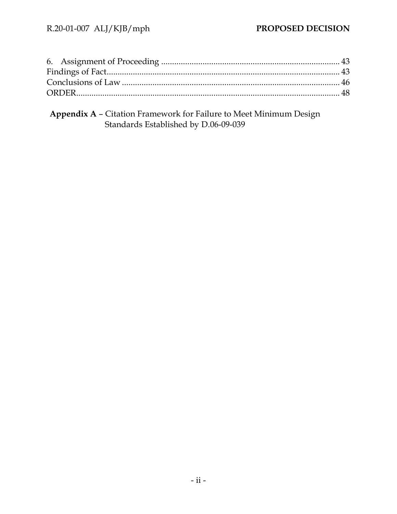**Appendix A** – Citation Framework for Failure to Meet Minimum Design Standards Established by D.06-09-039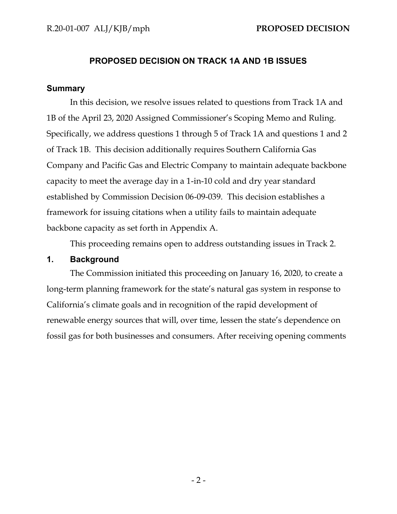#### **PROPOSED DECISION ON TRACK 1A AND 1B ISSUES**

#### <span id="page-4-0"></span>**Summary**

In this decision, we resolve issues related to questions from Track 1A and 1B of the April 23, 2020 Assigned Commissioner's Scoping Memo and Ruling. Specifically, we address questions 1 through 5 of Track 1A and questions 1 and 2 of Track 1B. This decision additionally requires Southern California Gas Company and Pacific Gas and Electric Company to maintain adequate backbone capacity to meet the average day in a 1-in-10 cold and dry year standard established by Commission Decision 06-09-039. This decision establishes a framework for issuing citations when a utility fails to maintain adequate backbone capacity as set forth in Appendix A.

This proceeding remains open to address outstanding issues in Track 2.

#### <span id="page-4-1"></span>**1. Background**

The Commission initiated this proceeding on January 16, 2020, to create a long-term planning framework for the state's natural gas system in response to California's climate goals and in recognition of the rapid development of renewable energy sources that will, over time, lessen the state's dependence on fossil gas for both businesses and consumers. After receiving opening comments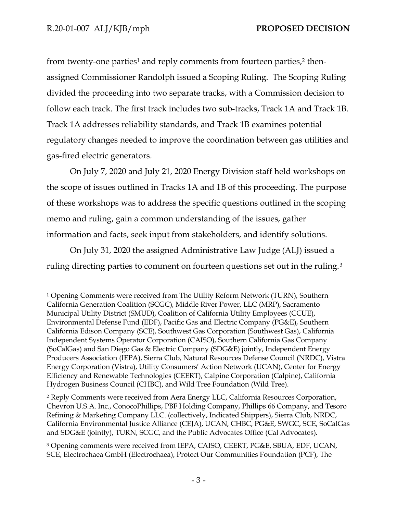from twenty-one parties<sup>1</sup> and reply comments from fourteen parties,<sup>2</sup> thenassigned Commissioner Randolph issued a Scoping Ruling. The Scoping Ruling divided the proceeding into two separate tracks, with a Commission decision to follow each track. The first track includes two sub-tracks, Track 1A and Track 1B. Track 1A addresses reliability standards, and Track 1B examines potential regulatory changes needed to improve the coordination between gas utilities and gas-fired electric generators.

On July 7, 2020 and July 21, 2020 Energy Division staff held workshops on the scope of issues outlined in Tracks 1A and 1B of this proceeding. The purpose of these workshops was to address the specific questions outlined in the scoping memo and ruling, gain a common understanding of the issues, gather information and facts, seek input from stakeholders, and identify solutions.

On July 31, 2020 the assigned Administrative Law Judge (ALJ) issued a ruling directing parties to comment on fourteen questions set out in the ruling.<sup>3</sup>

<sup>1</sup> Opening Comments were received from The Utility Reform Network (TURN), Southern California Generation Coalition (SCGC), Middle River Power, LLC (MRP), Sacramento Municipal Utility District (SMUD), Coalition of California Utility Employees (CCUE), Environmental Defense Fund (EDF), Pacific Gas and Electric Company (PG&E), Southern California Edison Company (SCE), Southwest Gas Corporation (Southwest Gas), California Independent Systems Operator Corporation (CAISO), Southern California Gas Company (SoCalGas) and San Diego Gas & Electric Company (SDG&E) jointly, Independent Energy Producers Association (IEPA), Sierra Club, Natural Resources Defense Council (NRDC), Vistra Energy Corporation (Vistra), Utility Consumers' Action Network (UCAN), Center for Energy Efficiency and Renewable Technologies (CEERT), Calpine Corporation (Calpine), California Hydrogen Business Council (CHBC), and Wild Tree Foundation (Wild Tree).

<sup>2</sup> Reply Comments were received from Aera Energy LLC, California Resources Corporation, Chevron U.S.A. Inc., ConocoPhillips, PBF Holding Company, Phillips 66 Company, and Tesoro Refining & Marketing Company LLC. (collectively, Indicated Shippers), Sierra Club, NRDC, California Environmental Justice Alliance (CEJA), UCAN, CHBC, PG&E, SWGC, SCE, SoCalGas and SDG&E (jointly), TURN, SCGC, and the Public Advocates Office (Cal Advocates).

<sup>3</sup> Opening comments were received from IEPA, CAISO, CEERT, PG&E, SBUA, EDF, UCAN, SCE, Electrochaea GmbH (Electrochaea), Protect Our Communities Foundation (PCF), The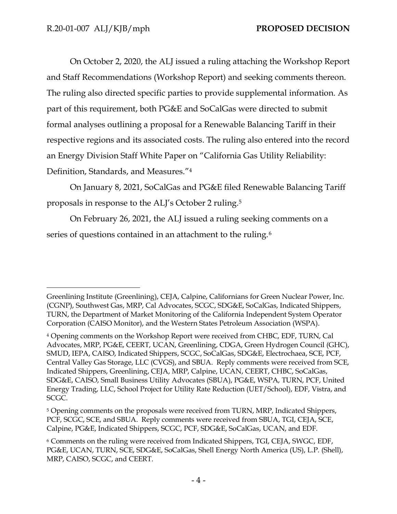On October 2, 2020, the ALJ issued a ruling attaching the Workshop Report and Staff Recommendations (Workshop Report) and seeking comments thereon. The ruling also directed specific parties to provide supplemental information. As part of this requirement, both PG&E and SoCalGas were directed to submit formal analyses outlining a proposal for a Renewable Balancing Tariff in their respective regions and its associated costs. The ruling also entered into the record an Energy Division Staff White Paper on "California Gas Utility Reliability: Definition, Standards, and Measures."<sup>4</sup>

On January 8, 2021, SoCalGas and PG&E filed Renewable Balancing Tariff proposals in response to the ALJ's October 2 ruling.<sup>5</sup>

On February 26, 2021, the ALJ issued a ruling seeking comments on a series of questions contained in an attachment to the ruling.<sup>6</sup>

Greenlining Institute (Greenlining), CEJA, Calpine, Californians for Green Nuclear Power, Inc. (CGNP), Southwest Gas, MRP, Cal Advocates, SCGC, SDG&E, SoCalGas, Indicated Shippers, TURN, the Department of Market Monitoring of the California Independent System Operator Corporation (CAISO Monitor), and the Western States Petroleum Association (WSPA).

<sup>4</sup> Opening comments on the Workshop Report were received from CHBC, EDF, TURN, Cal Advocates, MRP, PG&E, CEERT, UCAN, Greenlining, CDGA, Green Hydrogen Council (GHC), SMUD, IEPA, CAISO, Indicated Shippers, SCGC, SoCalGas, SDG&E, Electrochaea, SCE, PCF, Central Valley Gas Storage, LLC (CVGS), and SBUA. Reply comments were received from SCE, Indicated Shippers, Greenlining, CEJA, MRP, Calpine, UCAN, CEERT, CHBC, SoCalGas, SDG&E, CAISO, Small Business Utility Advocates (SBUA), PG&E, WSPA, TURN, PCF, United Energy Trading, LLC, School Project for Utility Rate Reduction (UET/School), EDF, Vistra, and SCGC.

<sup>&</sup>lt;sup>5</sup> Opening comments on the proposals were received from TURN, MRP, Indicated Shippers, PCF, SCGC, SCE, and SBUA. Reply comments were received from SBUA, TGI, CEJA, SCE, Calpine, PG&E, Indicated Shippers, SCGC, PCF, SDG&E, SoCalGas, UCAN, and EDF.

<sup>6</sup> Comments on the ruling were received from Indicated Shippers, TGI, CEJA, SWGC, EDF, PG&E, UCAN, TURN, SCE, SDG&E, SoCalGas, Shell Energy North America (US), L.P. (Shell), MRP, CAISO, SCGC, and CEERT.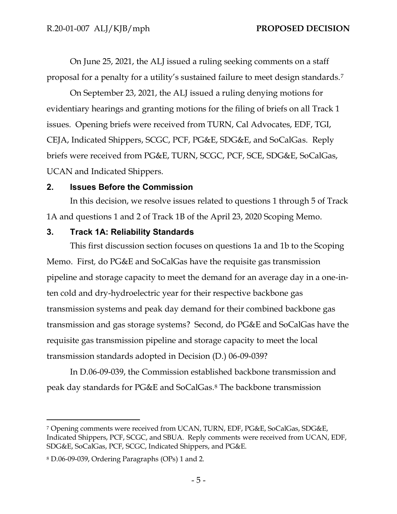On June 25, 2021, the ALJ issued a ruling seeking comments on a staff proposal for a penalty for a utility's sustained failure to meet design standards.<sup>7</sup>

On September 23, 2021, the ALJ issued a ruling denying motions for evidentiary hearings and granting motions for the filing of briefs on all Track 1 issues. Opening briefs were received from TURN, Cal Advocates, EDF, TGI, CEJA, Indicated Shippers, SCGC, PCF, PG&E, SDG&E, and SoCalGas. Reply briefs were received from PG&E, TURN, SCGC, PCF, SCE, SDG&E, SoCalGas, UCAN and Indicated Shippers.

### <span id="page-7-0"></span>**2. Issues Before the Commission**

In this decision, we resolve issues related to questions 1 through 5 of Track 1A and questions 1 and 2 of Track 1B of the April 23, 2020 Scoping Memo.

### <span id="page-7-1"></span>**3. Track 1A: Reliability Standards**

This first discussion section focuses on questions 1a and 1b to the Scoping Memo. First*,* do PG&E and SoCalGas have the requisite gas transmission pipeline and storage capacity to meet the demand for an average day in a one-inten cold and dry-hydroelectric year for their respective backbone gas transmission systems and peak day demand for their combined backbone gas transmission and gas storage systems? Second, do PG&E and SoCalGas have the requisite gas transmission pipeline and storage capacity to meet the local transmission standards adopted in Decision (D.) 06-09-039?

In D.06-09-039, the Commission established backbone transmission and peak day standards for PG&E and SoCalGas.<sup>8</sup> The backbone transmission

<sup>7</sup> Opening comments were received from UCAN, TURN, EDF, PG&E, SoCalGas, SDG&E, Indicated Shippers, PCF, SCGC, and SBUA. Reply comments were received from UCAN, EDF, SDG&E, SoCalGas, PCF, SCGC, Indicated Shippers, and PG&E.

<sup>8</sup> D.06-09-039, Ordering Paragraphs (OPs) 1 and 2.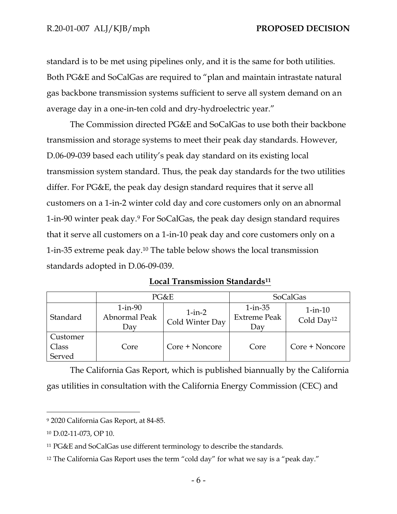standard is to be met using pipelines only, and it is the same for both utilities. Both PG&E and SoCalGas are required to "plan and maintain intrastate natural gas backbone transmission systems sufficient to serve all system demand on an average day in a one-in-ten cold and dry-hydroelectric year."

The Commission directed PG&E and SoCalGas to use both their backbone transmission and storage systems to meet their peak day standards. However, D.06-09-039 based each utility's peak day standard on its existing local transmission system standard. Thus, the peak day standards for the two utilities differ. For PG&E, the peak day design standard requires that it serve all customers on a 1-in-2 winter cold day and core customers only on an abnormal 1-in-90 winter peak day.<sup>9</sup> For SoCalGas, the peak day design standard requires that it serve all customers on a 1-in-10 peak day and core customers only on a 1-in-35 extreme peak day.<sup>10</sup> The table below shows the local transmission standards adopted in D.06-09-039.

|--|

|                             | PG&E                                  |                             | <b>SoCalGas</b>                             |                                         |
|-----------------------------|---------------------------------------|-----------------------------|---------------------------------------------|-----------------------------------------|
| Standard                    | $1$ -in- $90$<br>Abnormal Peak<br>Day | $1-in-2$<br>Cold Winter Day | $1$ -in- $35$<br><b>Extreme Peak</b><br>Day | $1$ -in- $10$<br>Cold Day <sup>12</sup> |
| Customer<br>Class<br>Served | Core                                  | Core + Noncore              | Core                                        | Core + Noncore                          |

The California Gas Report, which is published biannually by the California gas utilities in consultation with the California Energy Commission (CEC) and

<sup>9</sup> 2020 California Gas Report, at 84-85.

<sup>10</sup> D.02-11-073, OP 10.

<sup>11</sup> PG&E and SoCalGas use different terminology to describe the standards.

<sup>&</sup>lt;sup>12</sup> The California Gas Report uses the term "cold day" for what we say is a "peak day."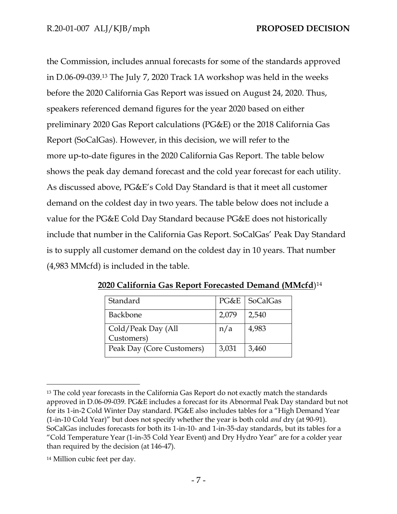the Commission, includes annual forecasts for some of the standards approved in D.06-09-039.<sup>13</sup> The July 7, 2020 Track 1A workshop was held in the weeks before the 2020 California Gas Report was issued on August 24, 2020. Thus, speakers referenced demand figures for the year 2020 based on either preliminary 2020 Gas Report calculations (PG&E) or the 2018 California Gas Report (SoCalGas). However, in this decision, we will refer to the more up-to-date figures in the 2020 California Gas Report. The table below shows the peak day demand forecast and the cold year forecast for each utility. As discussed above, PG&E's Cold Day Standard is that it meet all customer demand on the coldest day in two years. The table below does not include a value for the PG&E Cold Day Standard because PG&E does not historically include that number in the California Gas Report. SoCalGas' Peak Day Standard is to supply all customer demand on the coldest day in 10 years. That number (4,983 MMcfd) is included in the table.

| Standard                  |       | PG&E   SoCalGas |
|---------------------------|-------|-----------------|
| Backbone                  | 2,079 | 2,540           |
| Cold/Peak Day (All        | n/a   | 4,983           |
| Customers)                |       |                 |
| Peak Day (Core Customers) | 3,031 | 3,460           |

**2020 California Gas Report Forecasted Demand (MMcfd**) 14

<sup>&</sup>lt;sup>13</sup> The cold year forecasts in the California Gas Report do not exactly match the standards approved in D.06-09-039. PG&E includes a forecast for its Abnormal Peak Day standard but not for its 1-in-2 Cold Winter Day standard. PG&E also includes tables for a "High Demand Year (1-in-10 Cold Year)" but does not specify whether the year is both cold *and* dry (at 90-91). SoCalGas includes forecasts for both its 1-in-10- and 1-in-35-day standards, but its tables for a "Cold Temperature Year (1-in-35 Cold Year Event) and Dry Hydro Year" are for a colder year than required by the decision (at 146-47).

<sup>14</sup> Million cubic feet per day.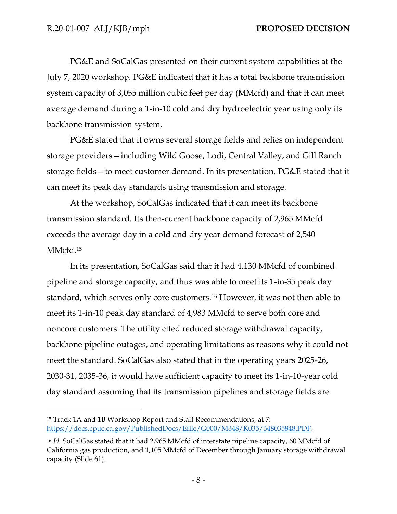PG&E and SoCalGas presented on their current system capabilities at the July 7, 2020 workshop. PG&E indicated that it has a total backbone transmission system capacity of 3,055 million cubic feet per day (MMcfd) and that it can meet average demand during a 1-in-10 cold and dry hydroelectric year using only its backbone transmission system.

PG&E stated that it owns several storage fields and relies on independent storage providers—including Wild Goose, Lodi, Central Valley, and Gill Ranch storage fields—to meet customer demand. In its presentation, PG&E stated that it can meet its peak day standards using transmission and storage.

At the workshop, SoCalGas indicated that it can meet its backbone transmission standard. Its then-current backbone capacity of 2,965 MMcfd exceeds the average day in a cold and dry year demand forecast of 2,540 MMcfd.<sup>15</sup>

In its presentation, SoCalGas said that it had 4,130 MMcfd of combined pipeline and storage capacity, and thus was able to meet its 1-in-35 peak day standard, which serves only core customers.<sup>16</sup> However, it was not then able to meet its 1-in-10 peak day standard of 4,983 MMcfd to serve both core and noncore customers. The utility cited reduced storage withdrawal capacity, backbone pipeline outages, and operating limitations as reasons why it could not meet the standard. SoCalGas also stated that in the operating years 2025-26, 2030-31, 2035-36, it would have sufficient capacity to meet its 1-in-10-year cold day standard assuming that its transmission pipelines and storage fields are

<sup>15</sup> Track 1A and 1B Workshop Report and Staff Recommendations, at 7: [https://docs.cpuc.ca.gov/PublishedDocs/Efile/G000/M348/K035/348035848.PDF.](https://docs.cpuc.ca.gov/PublishedDocs/Efile/G000/M348/K035/348035848.PDF)

<sup>16</sup> *Id.* SoCalGas stated that it had 2,965 MMcfd of interstate pipeline capacity, 60 MMcfd of California gas production, and 1,105 MMcfd of December through January storage withdrawal capacity (Slide 61).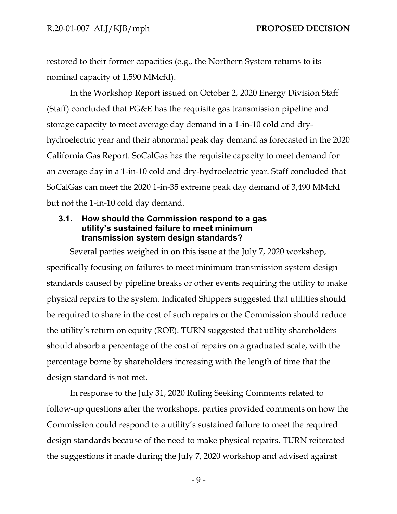restored to their former capacities (e.g., the Northern System returns to its nominal capacity of 1,590 MMcfd).

In the Workshop Report issued on October 2, 2020 Energy Division Staff (Staff) concluded that PG&E has the requisite gas transmission pipeline and storage capacity to meet average day demand in a 1-in-10 cold and dryhydroelectric year and their abnormal peak day demand as forecasted in the 2020 California Gas Report. SoCalGas has the requisite capacity to meet demand for an average day in a 1-in-10 cold and dry-hydroelectric year. Staff concluded that SoCalGas can meet the 2020 1-in-35 extreme peak day demand of 3,490 MMcfd but not the 1-in-10 cold day demand.

#### <span id="page-11-0"></span>**3.1. How should the Commission respond to a gas utility's sustained failure to meet minimum transmission system design standards?**

Several parties weighed in on this issue at the July 7, 2020 workshop, specifically focusing on failures to meet minimum transmission system design standards caused by pipeline breaks or other events requiring the utility to make physical repairs to the system. Indicated Shippers suggested that utilities should be required to share in the cost of such repairs or the Commission should reduce the utility's return on equity (ROE). TURN suggested that utility shareholders should absorb a percentage of the cost of repairs on a graduated scale, with the percentage borne by shareholders increasing with the length of time that the design standard is not met.

In response to the July 31, 2020 Ruling Seeking Comments related to follow-up questions after the workshops, parties provided comments on how the Commission could respond to a utility's sustained failure to meet the required design standards because of the need to make physical repairs. TURN reiterated the suggestions it made during the July 7, 2020 workshop and advised against

- 9 -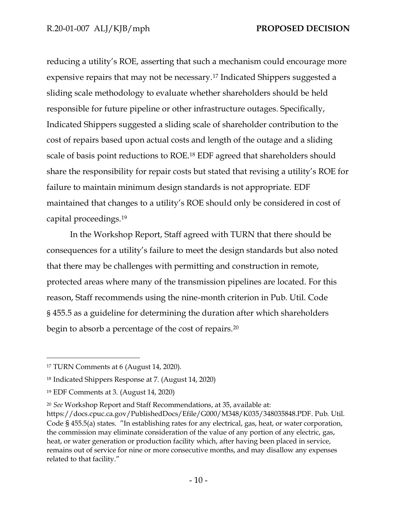reducing a utility's ROE, asserting that such a mechanism could encourage more expensive repairs that may not be necessary.<sup>17</sup> Indicated Shippers suggested a sliding scale methodology to evaluate whether shareholders should be held responsible for future pipeline or other infrastructure outages. Specifically, Indicated Shippers suggested a sliding scale of shareholder contribution to the cost of repairs based upon actual costs and length of the outage and a sliding scale of basis point reductions to ROE.<sup>18</sup> EDF agreed that shareholders should share the responsibility for repair costs but stated that revising a utility's ROE for failure to maintain minimum design standards is not appropriate. EDF maintained that changes to a utility's ROE should only be considered in cost of capital proceedings.<sup>19</sup>

In the Workshop Report, Staff agreed with TURN that there should be consequences for a utility's failure to meet the design standards but also noted that there may be challenges with permitting and construction in remote, protected areas where many of the transmission pipelines are located. For this reason, Staff recommends using the nine-month criterion in Pub. Util. Code § 455.5 as a guideline for determining the duration after which shareholders begin to absorb a percentage of the cost of repairs. 20

<sup>17</sup> TURN Comments at 6 (August 14, 2020).

<sup>18</sup> Indicated Shippers Response at 7. (August 14, 2020)

<sup>19</sup> EDF Comments at 3. (August 14, 2020)

<sup>20</sup> *See* Workshop Report and Staff Recommendations, at 35, available at:

https://docs.cpuc.ca.gov/PublishedDocs/Efile/G000/M348/K035/348035848.PDF. Pub. Util. Code § 455.5(a) states. "In establishing rates for any electrical, gas, heat, or water corporation, the commission may eliminate consideration of the value of any portion of any electric, gas, heat, or water generation or production facility which, after having been placed in service, remains out of service for nine or more consecutive months, and may disallow any expenses related to that facility."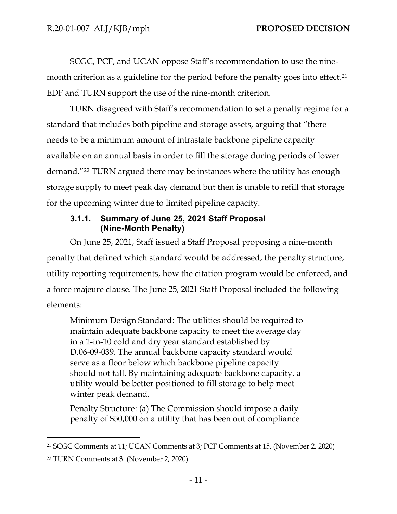SCGC, PCF, and UCAN oppose Staff's recommendation to use the ninemonth criterion as a guideline for the period before the penalty goes into effect. 21 EDF and TURN support the use of the nine-month criterion.

TURN disagreed with Staff's recommendation to set a penalty regime for a standard that includes both pipeline and storage assets, arguing that "there needs to be a minimum amount of intrastate backbone pipeline capacity available on an annual basis in order to fill the storage during periods of lower demand."<sup>22</sup> TURN argued there may be instances where the utility has enough storage supply to meet peak day demand but then is unable to refill that storage for the upcoming winter due to limited pipeline capacity.

# **3.1.1. Summary of June 25, 2021 Staff Proposal (Nine-Month Penalty)**

<span id="page-13-0"></span>On June 25, 2021, Staff issued a Staff Proposal proposing a nine-month penalty that defined which standard would be addressed, the penalty structure, utility reporting requirements, how the citation program would be enforced, and a force majeure clause. The June 25, 2021 Staff Proposal included the following elements:

Minimum Design Standard: The utilities should be required to maintain adequate backbone capacity to meet the average day in a 1-in-10 cold and dry year standard established by D.06-09-039. The annual backbone capacity standard would serve as a floor below which backbone pipeline capacity should not fall. By maintaining adequate backbone capacity, a utility would be better positioned to fill storage to help meet winter peak demand.

Penalty Structure: (a) The Commission should impose a daily penalty of \$50,000 on a utility that has been out of compliance

<sup>21</sup> SCGC Comments at 11; UCAN Comments at 3; PCF Comments at 15. (November 2, 2020)

<sup>22</sup> TURN Comments at 3. (November 2, 2020)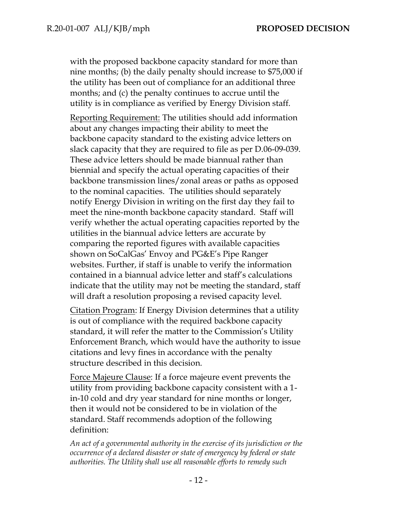with the proposed backbone capacity standard for more than nine months; (b) the daily penalty should increase to \$75,000 if the utility has been out of compliance for an additional three months; and (c) the penalty continues to accrue until the utility is in compliance as verified by Energy Division staff.

Reporting Requirement: The utilities should add information about any changes impacting their ability to meet the backbone capacity standard to the existing advice letters on slack capacity that they are required to file as per D.06-09-039. These advice letters should be made biannual rather than biennial and specify the actual operating capacities of their backbone transmission lines/zonal areas or paths as opposed to the nominal capacities. The utilities should separately notify Energy Division in writing on the first day they fail to meet the nine-month backbone capacity standard. Staff will verify whether the actual operating capacities reported by the utilities in the biannual advice letters are accurate by comparing the reported figures with available capacities shown on SoCalGas' Envoy and PG&E's Pipe Ranger websites. Further, if staff is unable to verify the information contained in a biannual advice letter and staff's calculations indicate that the utility may not be meeting the standard, staff will draft a resolution proposing a revised capacity level.

Citation Program: If Energy Division determines that a utility is out of compliance with the required backbone capacity standard, it will refer the matter to the Commission's Utility Enforcement Branch, which would have the authority to issue citations and levy fines in accordance with the penalty structure described in this decision.

Force Majeure Clause: If a force majeure event prevents the utility from providing backbone capacity consistent with a 1 in-10 cold and dry year standard for nine months or longer, then it would not be considered to be in violation of the standard. Staff recommends adoption of the following definition:

*An act of a governmental authority in the exercise of its jurisdiction or the occurrence of a declared disaster or state of emergency by federal or state authorities. The Utility shall use all reasonable efforts to remedy such*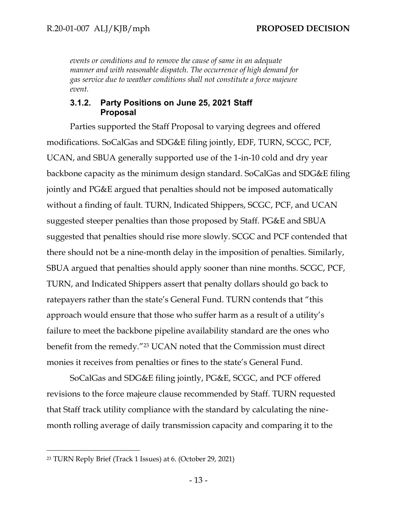*events or conditions and to remove the cause of same in an adequate manner and with reasonable dispatch. The occurrence of high demand for gas service due to weather conditions shall not constitute a force majeure event.*

#### **3.1.2. Party Positions on June 25, 2021 Staff Proposal**

<span id="page-15-0"></span>Parties supported the Staff Proposal to varying degrees and offered modifications. SoCalGas and SDG&E filing jointly, EDF, TURN, SCGC, PCF, UCAN, and SBUA generally supported use of the 1-in-10 cold and dry year backbone capacity as the minimum design standard. SoCalGas and SDG&E filing jointly and PG&E argued that penalties should not be imposed automatically without a finding of fault. TURN, Indicated Shippers, SCGC, PCF, and UCAN suggested steeper penalties than those proposed by Staff. PG&E and SBUA suggested that penalties should rise more slowly. SCGC and PCF contended that there should not be a nine-month delay in the imposition of penalties. Similarly, SBUA argued that penalties should apply sooner than nine months. SCGC, PCF, TURN, and Indicated Shippers assert that penalty dollars should go back to ratepayers rather than the state's General Fund. TURN contends that "this approach would ensure that those who suffer harm as a result of a utility's failure to meet the backbone pipeline availability standard are the ones who benefit from the remedy."<sup>23</sup> UCAN noted that the Commission must direct monies it receives from penalties or fines to the state's General Fund.

SoCalGas and SDG&E filing jointly, PG&E, SCGC, and PCF offered revisions to the force majeure clause recommended by Staff. TURN requested that Staff track utility compliance with the standard by calculating the ninemonth rolling average of daily transmission capacity and comparing it to the

<sup>23</sup> TURN Reply Brief (Track 1 Issues) at 6. (October 29, 2021)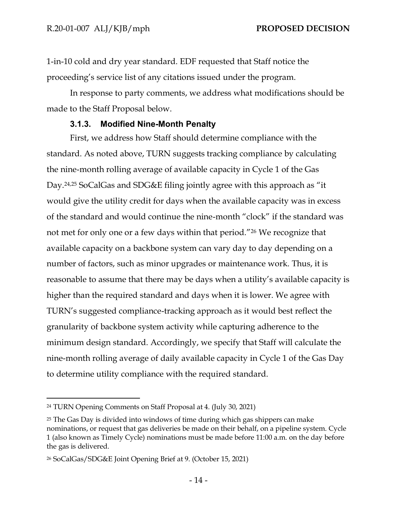1-in-10 cold and dry year standard. EDF requested that Staff notice the proceeding's service list of any citations issued under the program.

In response to party comments, we address what modifications should be made to the Staff Proposal below.

#### **3.1.3. Modified Nine-Month Penalty**

<span id="page-16-0"></span>First, we address how Staff should determine compliance with the standard. As noted above, TURN suggests tracking compliance by calculating the nine-month rolling average of available capacity in Cycle 1 of the Gas Day. 24,25 SoCalGas and SDG&E filing jointly agree with this approach as "it would give the utility credit for days when the available capacity was in excess of the standard and would continue the nine-month "clock" if the standard was not met for only one or a few days within that period."<sup>26</sup> We recognize that available capacity on a backbone system can vary day to day depending on a number of factors, such as minor upgrades or maintenance work. Thus, it is reasonable to assume that there may be days when a utility's available capacity is higher than the required standard and days when it is lower. We agree with TURN's suggested compliance-tracking approach as it would best reflect the granularity of backbone system activity while capturing adherence to the minimum design standard. Accordingly, we specify that Staff will calculate the nine-month rolling average of daily available capacity in Cycle 1 of the Gas Day to determine utility compliance with the required standard.

<sup>24</sup> TURN Opening Comments on Staff Proposal at 4. (July 30, 2021)

<sup>&</sup>lt;sup>25</sup> The Gas Day is divided into windows of time during which gas shippers can make nominations, or request that gas deliveries be made on their behalf, on a pipeline system. Cycle 1 (also known as Timely Cycle) nominations must be made before 11:00 a.m. on the day before the gas is delivered.

<sup>26</sup> SoCalGas/SDG&E Joint Opening Brief at 9. (October 15, 2021)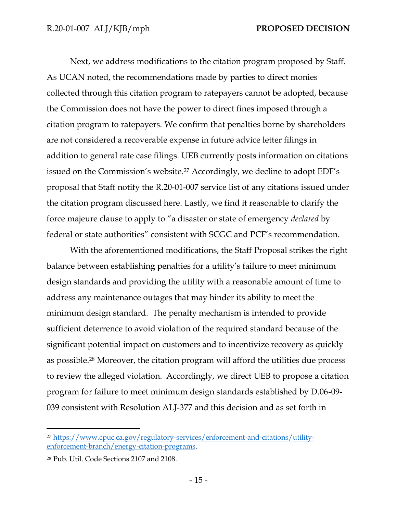Next, we address modifications to the citation program proposed by Staff. As UCAN noted, the recommendations made by parties to direct monies collected through this citation program to ratepayers cannot be adopted, because the Commission does not have the power to direct fines imposed through a citation program to ratepayers. We confirm that penalties borne by shareholders are not considered a recoverable expense in future advice letter filings in addition to general rate case filings. UEB currently posts information on citations issued on the Commission's website.<sup>27</sup> Accordingly, we decline to adopt EDF's proposal that Staff notify the R.20-01-007 service list of any citations issued under the citation program discussed here. Lastly, we find it reasonable to clarify the force majeure clause to apply to "a disaster or state of emergency *declared* by federal or state authorities" consistent with SCGC and PCF's recommendation.

With the aforementioned modifications, the Staff Proposal strikes the right balance between establishing penalties for a utility's failure to meet minimum design standards and providing the utility with a reasonable amount of time to address any maintenance outages that may hinder its ability to meet the minimum design standard. The penalty mechanism is intended to provide sufficient deterrence to avoid violation of the required standard because of the significant potential impact on customers and to incentivize recovery as quickly as possible.<sup>28</sup> Moreover, the citation program will afford the utilities due process to review the alleged violation. Accordingly, we direct UEB to propose a citation program for failure to meet minimum design standards established by D.06-09- 039 consistent with Resolution ALJ-377 and this decision and as set forth in

<sup>27</sup> [https://www.cpuc.ca.gov/regulatory-services/enforcement-and-citations/utility](https://www.cpuc.ca.gov/regulatory-services/enforcement-and-citations/utility-enforcement-branch/energy-citation-programs)[enforcement-branch/energy-citation-programs.](https://www.cpuc.ca.gov/regulatory-services/enforcement-and-citations/utility-enforcement-branch/energy-citation-programs)

<sup>28</sup> Pub. Util. Code Sections 2107 and 2108.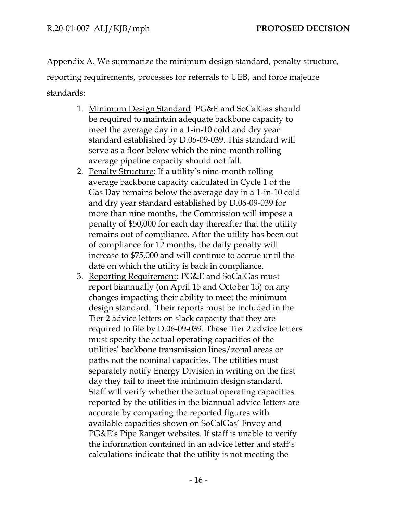Appendix A. We summarize the minimum design standard, penalty structure, reporting requirements, processes for referrals to UEB, and force majeure standards:

- 1. Minimum Design Standard: PG&E and SoCalGas should be required to maintain adequate backbone capacity to meet the average day in a 1-in-10 cold and dry year standard established by D.06-09-039. This standard will serve as a floor below which the nine-month rolling average pipeline capacity should not fall.
- 2. Penalty Structure: If a utility's nine-month rolling average backbone capacity calculated in Cycle 1 of the Gas Day remains below the average day in a 1-in-10 cold and dry year standard established by D.06-09-039 for more than nine months, the Commission will impose a penalty of \$50,000 for each day thereafter that the utility remains out of compliance. After the utility has been out of compliance for 12 months, the daily penalty will increase to \$75,000 and will continue to accrue until the date on which the utility is back in compliance.
- 3. Reporting Requirement: PG&E and SoCalGas must report biannually (on April 15 and October 15) on any changes impacting their ability to meet the minimum design standard. Their reports must be included in the Tier 2 advice letters on slack capacity that they are required to file by D.06-09-039. These Tier 2 advice letters must specify the actual operating capacities of the utilities' backbone transmission lines/zonal areas or paths not the nominal capacities. The utilities must separately notify Energy Division in writing on the first day they fail to meet the minimum design standard. Staff will verify whether the actual operating capacities reported by the utilities in the biannual advice letters are accurate by comparing the reported figures with available capacities shown on SoCalGas' Envoy and PG&E's Pipe Ranger websites. If staff is unable to verify the information contained in an advice letter and staff's calculations indicate that the utility is not meeting the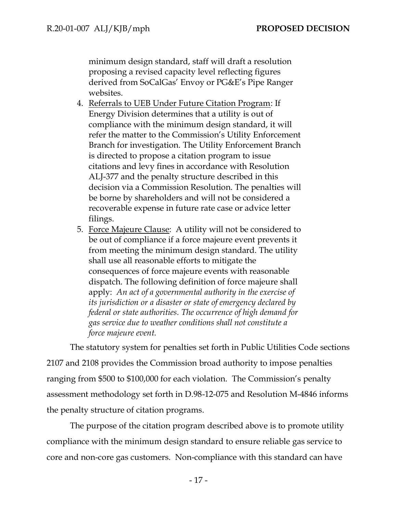minimum design standard, staff will draft a resolution proposing a revised capacity level reflecting figures derived from SoCalGas' Envoy or PG&E's Pipe Ranger websites.

- 4. Referrals to UEB Under Future Citation Program: If Energy Division determines that a utility is out of compliance with the minimum design standard, it will refer the matter to the Commission's Utility Enforcement Branch for investigation. The Utility Enforcement Branch is directed to propose a citation program to issue citations and levy fines in accordance with Resolution ALJ-377 and the penalty structure described in this decision via a Commission Resolution. The penalties will be borne by shareholders and will not be considered a recoverable expense in future rate case or advice letter filings.
- 5. Force Majeure Clause: A utility will not be considered to be out of compliance if a force majeure event prevents it from meeting the minimum design standard. The utility shall use all reasonable efforts to mitigate the consequences of force majeure events with reasonable dispatch. The following definition of force majeure shall apply: *An act of a governmental authority in the exercise of its jurisdiction or a disaster or state of emergency declared by federal or state authorities. The occurrence of high demand for gas service due to weather conditions shall not constitute a force majeure event.*

The statutory system for penalties set forth in Public Utilities Code sections 2107 and 2108 provides the Commission broad authority to impose penalties ranging from \$500 to \$100,000 for each violation. The Commission's penalty assessment methodology set forth in D.98-12-075 and Resolution M-4846 informs the penalty structure of citation programs.

The purpose of the citation program described above is to promote utility compliance with the minimum design standard to ensure reliable gas service to core and non-core gas customers. Non-compliance with this standard can have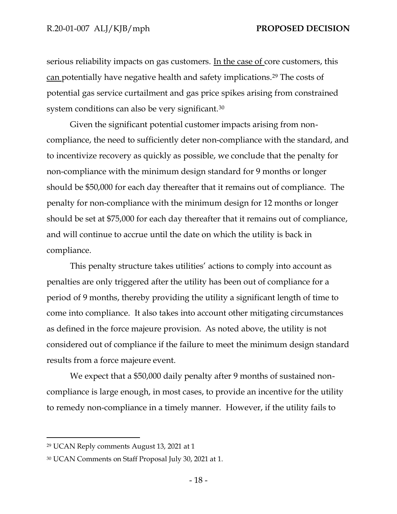serious reliability impacts on gas customers. In the case of core customers, this can potentially have negative health and safety implications.<sup>29</sup> The costs of potential gas service curtailment and gas price spikes arising from constrained system conditions can also be very significant.<sup>30</sup>

Given the significant potential customer impacts arising from noncompliance, the need to sufficiently deter non-compliance with the standard, and to incentivize recovery as quickly as possible, we conclude that the penalty for non-compliance with the minimum design standard for 9 months or longer should be \$50,000 for each day thereafter that it remains out of compliance. The penalty for non-compliance with the minimum design for 12 months or longer should be set at \$75,000 for each day thereafter that it remains out of compliance, and will continue to accrue until the date on which the utility is back in compliance.

This penalty structure takes utilities' actions to comply into account as penalties are only triggered after the utility has been out of compliance for a period of 9 months, thereby providing the utility a significant length of time to come into compliance. It also takes into account other mitigating circumstances as defined in the force majeure provision. As noted above, the utility is not considered out of compliance if the failure to meet the minimum design standard results from a force majeure event.

We expect that a \$50,000 daily penalty after 9 months of sustained noncompliance is large enough, in most cases, to provide an incentive for the utility to remedy non-compliance in a timely manner. However, if the utility fails to

<sup>29</sup> UCAN Reply comments August 13, 2021 at 1

<sup>30</sup> UCAN Comments on Staff Proposal July 30, 2021 at 1.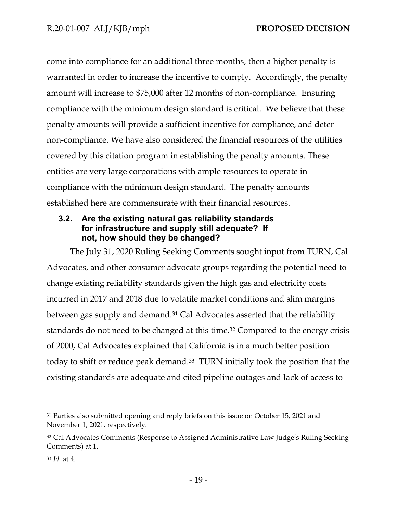come into compliance for an additional three months, then a higher penalty is warranted in order to increase the incentive to comply. Accordingly, the penalty amount will increase to \$75,000 after 12 months of non-compliance. Ensuring compliance with the minimum design standard is critical. We believe that these penalty amounts will provide a sufficient incentive for compliance, and deter non-compliance. We have also considered the financial resources of the utilities covered by this citation program in establishing the penalty amounts. These entities are very large corporations with ample resources to operate in compliance with the minimum design standard. The penalty amounts established here are commensurate with their financial resources.

# <span id="page-21-0"></span>**3.2. Are the existing natural gas reliability standards for infrastructure and supply still adequate? If not, how should they be changed?**

The July 31, 2020 Ruling Seeking Comments sought input from TURN, Cal Advocates, and other consumer advocate groups regarding the potential need to change existing reliability standards given the high gas and electricity costs incurred in 2017 and 2018 due to volatile market conditions and slim margins between gas supply and demand.<sup>31</sup> Cal Advocates asserted that the reliability standards do not need to be changed at this time.<sup>32</sup> Compared to the energy crisis of 2000, Cal Advocates explained that California is in a much better position today to shift or reduce peak demand. <sup>33</sup> TURN initially took the position that the existing standards are adequate and cited pipeline outages and lack of access to

<sup>&</sup>lt;sup>31</sup> Parties also submitted opening and reply briefs on this issue on October 15, 2021 and November 1, 2021, respectively.

<sup>32</sup> Cal Advocates Comments (Response to Assigned Administrative Law Judge's Ruling Seeking Comments) at 1.

<sup>33</sup> *Id*. at 4.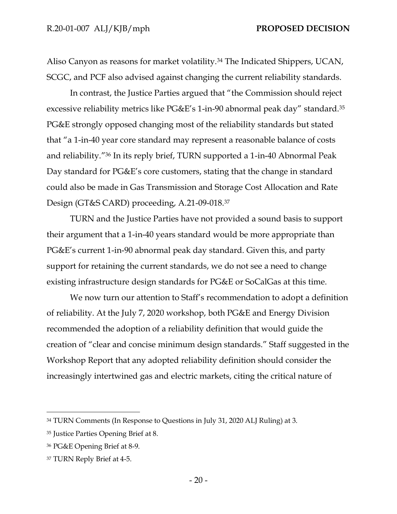Aliso Canyon as reasons for market volatility.<sup>34</sup> The Indicated Shippers, UCAN, SCGC, and PCF also advised against changing the current reliability standards.

In contrast, the Justice Parties argued that "the Commission should reject excessive reliability metrics like PG&E's 1-in-90 abnormal peak day" standard.<sup>35</sup> PG&E strongly opposed changing most of the reliability standards but stated that "a 1-in-40 year core standard may represent a reasonable balance of costs and reliability."<sup>36</sup> In its reply brief, TURN supported a 1-in-40 Abnormal Peak Day standard for PG&E's core customers, stating that the change in standard could also be made in Gas Transmission and Storage Cost Allocation and Rate Design (GT&S CARD) proceeding, A.21-09-018.<sup>37</sup>

TURN and the Justice Parties have not provided a sound basis to support their argument that a 1-in-40 years standard would be more appropriate than PG&E's current 1-in-90 abnormal peak day standard. Given this, and party support for retaining the current standards, we do not see a need to change existing infrastructure design standards for PG&E or SoCalGas at this time.

We now turn our attention to Staff's recommendation to adopt a definition of reliability. At the July 7, 2020 workshop, both PG&E and Energy Division recommended the adoption of a reliability definition that would guide the creation of "clear and concise minimum design standards." Staff suggested in the Workshop Report that any adopted reliability definition should consider the increasingly intertwined gas and electric markets, citing the critical nature of

<sup>34</sup> TURN Comments (In Response to Questions in July 31, 2020 ALJ Ruling) at 3.

<sup>35</sup> Justice Parties Opening Brief at 8.

<sup>36</sup> PG&E Opening Brief at 8-9.

<sup>37</sup> TURN Reply Brief at 4-5.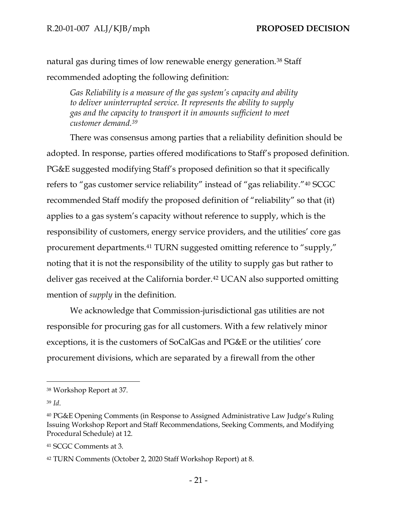natural gas during times of low renewable energy generation.<sup>38</sup> Staff recommended adopting the following definition:

*Gas Reliability is a measure of the gas system's capacity and ability to deliver uninterrupted service. It represents the ability to supply gas and the capacity to transport it in amounts sufficient to meet customer demand.<sup>39</sup>*

There was consensus among parties that a reliability definition should be adopted. In response, parties offered modifications to Staff's proposed definition. PG&E suggested modifying Staff's proposed definition so that it specifically refers to "gas customer service reliability" instead of "gas reliability."<sup>40</sup> SCGC recommended Staff modify the proposed definition of "reliability" so that (it) applies to a gas system's capacity without reference to supply, which is the responsibility of customers, energy service providers, and the utilities' core gas procurement departments.<sup>41</sup> TURN suggested omitting reference to "supply," noting that it is not the responsibility of the utility to supply gas but rather to deliver gas received at the California border.<sup>42</sup> UCAN also supported omitting mention of *supply* in the definition.

We acknowledge that Commission-jurisdictional gas utilities are not responsible for procuring gas for all customers. With a few relatively minor exceptions, it is the customers of SoCalGas and PG&E or the utilities' core procurement divisions, which are separated by a firewall from the other

<sup>38</sup> Workshop Report at 37.

<sup>39</sup> *Id*.

<sup>40</sup> PG&E Opening Comments (in Response to Assigned Administrative Law Judge's Ruling Issuing Workshop Report and Staff Recommendations, Seeking Comments, and Modifying Procedural Schedule) at 12.

<sup>41</sup> SCGC Comments at 3.

<sup>42</sup> TURN Comments (October 2, 2020 Staff Workshop Report) at 8.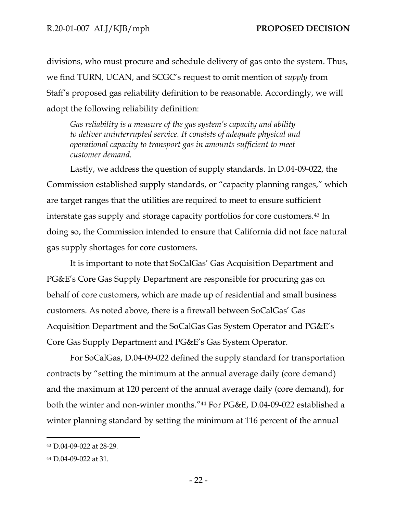divisions, who must procure and schedule delivery of gas onto the system. Thus, we find TURN, UCAN, and SCGC's request to omit mention of *supply* from Staff's proposed gas reliability definition to be reasonable. Accordingly, we will adopt the following reliability definition:

*Gas reliability is a measure of the gas system's capacity and ability to deliver uninterrupted service. It consists of adequate physical and operational capacity to transport gas in amounts sufficient to meet customer demand.*

Lastly, we address the question of supply standards. In D.04-09-022, the Commission established supply standards, or "capacity planning ranges," which are target ranges that the utilities are required to meet to ensure sufficient interstate gas supply and storage capacity portfolios for core customers.<sup>43</sup> In doing so, the Commission intended to ensure that California did not face natural gas supply shortages for core customers.

It is important to note that SoCalGas' Gas Acquisition Department and PG&E's Core Gas Supply Department are responsible for procuring gas on behalf of core customers, which are made up of residential and small business customers. As noted above, there is a firewall between SoCalGas' Gas Acquisition Department and the SoCalGas Gas System Operator and PG&E's Core Gas Supply Department and PG&E's Gas System Operator.

For SoCalGas, D.04-09-022 defined the supply standard for transportation contracts by "setting the minimum at the annual average daily (core demand) and the maximum at 120 percent of the annual average daily (core demand), for both the winter and non-winter months."<sup>44</sup> For PG&E, D.04-09-022 established a winter planning standard by setting the minimum at 116 percent of the annual

<sup>43</sup> D.04-09-022 at 28-29.

<sup>44</sup> D.04-09-022 at 31.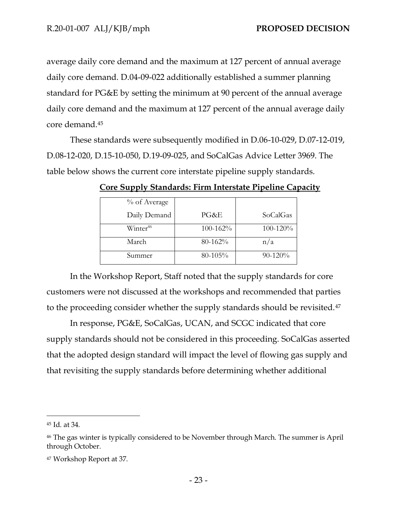average daily core demand and the maximum at 127 percent of annual average daily core demand. D.04-09-022 additionally established a summer planning standard for PG&E by setting the minimum at 90 percent of the annual average daily core demand and the maximum at 127 percent of the annual average daily core demand.<sup>45</sup>

These standards were subsequently modified in D.06-10-029, D.07-12-019, D.08-12-020, D.15-10-050, D.19-09-025, and SoCalGas Advice Letter 3969. The table below shows the current core interstate pipeline supply standards.

| % of Average         |          |          |
|----------------------|----------|----------|
| Daily Demand         | PG&E     | SoCalGas |
| Winter <sup>46</sup> | 100-162% | 100-120% |
| March                | 80-162%  | n/a      |
| Summer               | 80-105%  | 90-120%  |

**Core Supply Standards: Firm Interstate Pipeline Capacity**

In the Workshop Report, Staff noted that the supply standards for core customers were not discussed at the workshops and recommended that parties to the proceeding consider whether the supply standards should be revisited.<sup>47</sup>

In response, PG&E, SoCalGas, UCAN, and SCGC indicated that core supply standards should not be considered in this proceeding. SoCalGas asserted that the adopted design standard will impact the level of flowing gas supply and that revisiting the supply standards before determining whether additional

<sup>45</sup> Id. at 34.

<sup>46</sup> The gas winter is typically considered to be November through March. The summer is April through October.

<sup>47</sup> Workshop Report at 37.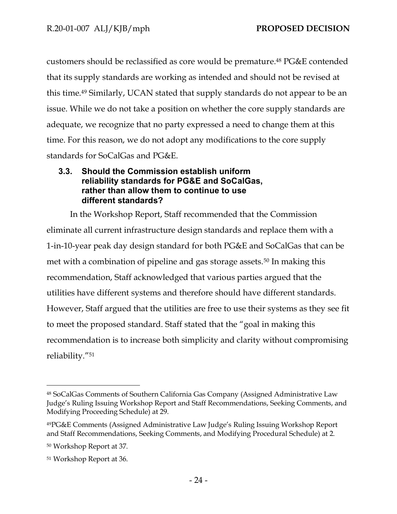customers should be reclassified as core would be premature.<sup>48</sup> PG&E contended that its supply standards are working as intended and should not be revised at this time.<sup>49</sup> Similarly, UCAN stated that supply standards do not appear to be an issue. While we do not take a position on whether the core supply standards are adequate, we recognize that no party expressed a need to change them at this time. For this reason, we do not adopt any modifications to the core supply standards for SoCalGas and PG&E.

### <span id="page-26-0"></span>**3.3. Should the Commission establish uniform reliability standards for PG&E and SoCalGas, rather than allow them to continue to use different standards?**

In the Workshop Report, Staff recommended that the Commission eliminate all current infrastructure design standards and replace them with a 1-in-10-year peak day design standard for both PG&E and SoCalGas that can be met with a combination of pipeline and gas storage assets.<sup>50</sup> In making this recommendation, Staff acknowledged that various parties argued that the utilities have different systems and therefore should have different standards. However, Staff argued that the utilities are free to use their systems as they see fit to meet the proposed standard. Staff stated that the "goal in making this recommendation is to increase both simplicity and clarity without compromising reliability."<sup>51</sup>

<sup>48</sup> SoCalGas Comments of Southern California Gas Company (Assigned Administrative Law Judge's Ruling Issuing Workshop Report and Staff Recommendations, Seeking Comments, and Modifying Proceeding Schedule) at 29.

<sup>49</sup>PG&E Comments (Assigned Administrative Law Judge's Ruling Issuing Workshop Report and Staff Recommendations, Seeking Comments, and Modifying Procedural Schedule) at 2.

<sup>50</sup> Workshop Report at 37.

<sup>51</sup> Workshop Report at 36.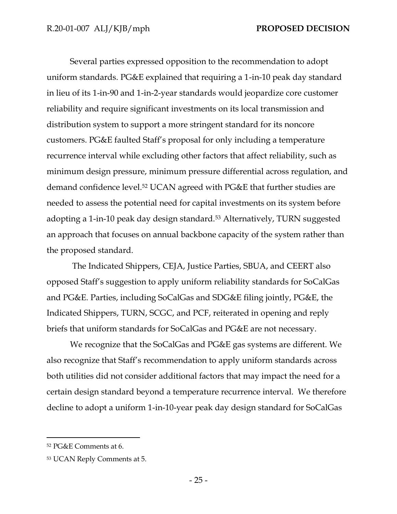Several parties expressed opposition to the recommendation to adopt uniform standards. PG&E explained that requiring a 1-in-10 peak day standard in lieu of its 1-in-90 and 1-in-2-year standards would jeopardize core customer reliability and require significant investments on its local transmission and distribution system to support a more stringent standard for its noncore customers. PG&E faulted Staff's proposal for only including a temperature recurrence interval while excluding other factors that affect reliability, such as minimum design pressure, minimum pressure differential across regulation, and demand confidence level.<sup>52</sup> UCAN agreed with PG&E that further studies are needed to assess the potential need for capital investments on its system before adopting a 1-in-10 peak day design standard.<sup>53</sup> Alternatively, TURN suggested an approach that focuses on annual backbone capacity of the system rather than the proposed standard.

The Indicated Shippers, CEJA, Justice Parties, SBUA, and CEERT also opposed Staff's suggestion to apply uniform reliability standards for SoCalGas and PG&E. Parties, including SoCalGas and SDG&E filing jointly, PG&E, the Indicated Shippers, TURN, SCGC, and PCF, reiterated in opening and reply briefs that uniform standards for SoCalGas and PG&E are not necessary.

We recognize that the SoCalGas and PG&E gas systems are different. We also recognize that Staff's recommendation to apply uniform standards across both utilities did not consider additional factors that may impact the need for a certain design standard beyond a temperature recurrence interval. We therefore decline to adopt a uniform 1-in-10-year peak day design standard for SoCalGas

<sup>52</sup> PG&E Comments at 6.

<sup>53</sup> UCAN Reply Comments at 5.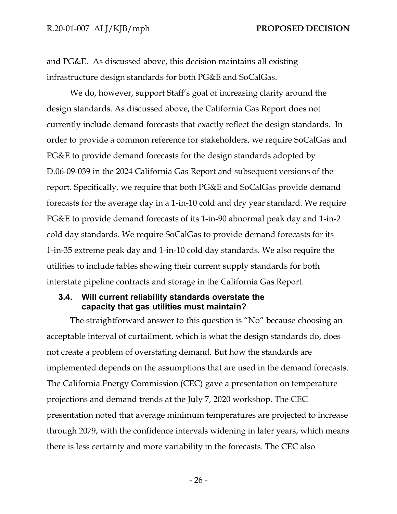and PG&E. As discussed above, this decision maintains all existing infrastructure design standards for both PG&E and SoCalGas.

We do, however, support Staff's goal of increasing clarity around the design standards. As discussed above, the California Gas Report does not currently include demand forecasts that exactly reflect the design standards. In order to provide a common reference for stakeholders, we require SoCalGas and PG&E to provide demand forecasts for the design standards adopted by D.06-09-039 in the 2024 California Gas Report and subsequent versions of the report. Specifically, we require that both PG&E and SoCalGas provide demand forecasts for the average day in a 1-in-10 cold and dry year standard. We require PG&E to provide demand forecasts of its 1-in-90 abnormal peak day and 1-in-2 cold day standards. We require SoCalGas to provide demand forecasts for its 1-in-35 extreme peak day and 1-in-10 cold day standards. We also require the utilities to include tables showing their current supply standards for both interstate pipeline contracts and storage in the California Gas Report.

#### <span id="page-28-0"></span>**3.4. Will current reliability standards overstate the capacity that gas utilities must maintain?**

The straightforward answer to this question is "No" because choosing an acceptable interval of curtailment, which is what the design standards do, does not create a problem of overstating demand. But how the standards are implemented depends on the assumptions that are used in the demand forecasts. The California Energy Commission (CEC) gave a presentation on temperature projections and demand trends at the July 7, 2020 workshop. The CEC presentation noted that average minimum temperatures are projected to increase through 2079, with the confidence intervals widening in later years, which means there is less certainty and more variability in the forecasts. The CEC also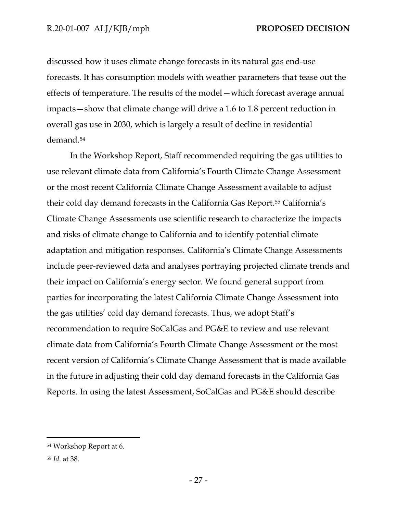discussed how it uses climate change forecasts in its natural gas end-use forecasts. It has consumption models with weather parameters that tease out the effects of temperature. The results of the model—which forecast average annual impacts—show that climate change will drive a 1.6 to 1.8 percent reduction in overall gas use in 2030, which is largely a result of decline in residential demand. 54

In the Workshop Report, Staff recommended requiring the gas utilities to use relevant climate data from California's Fourth Climate Change Assessment or the most recent California Climate Change Assessment available to adjust their cold day demand forecasts in the California Gas Report.<sup>55</sup> California's Climate Change Assessments use scientific research to characterize the impacts and risks of climate change to California and to identify potential climate adaptation and mitigation responses. California's Climate Change Assessments include peer-reviewed data and analyses portraying projected climate trends and their impact on California's energy sector. We found general support from parties for incorporating the latest California Climate Change Assessment into the gas utilities' cold day demand forecasts. Thus, we adopt Staff's recommendation to require SoCalGas and PG&E to review and use relevant climate data from California's Fourth Climate Change Assessment or the most recent version of California's Climate Change Assessment that is made available in the future in adjusting their cold day demand forecasts in the California Gas Reports. In using the latest Assessment, SoCalGas and PG&E should describe

<sup>54</sup> Workshop Report at 6.

<sup>55</sup> *Id*. at 38.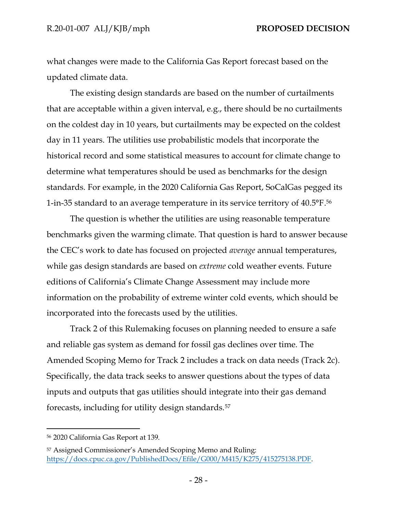what changes were made to the California Gas Report forecast based on the updated climate data.

The existing design standards are based on the number of curtailments that are acceptable within a given interval, e.g., there should be no curtailments on the coldest day in 10 years, but curtailments may be expected on the coldest day in 11 years. The utilities use probabilistic models that incorporate the historical record and some statistical measures to account for climate change to determine what temperatures should be used as benchmarks for the design standards. For example, in the 2020 California Gas Report, SoCalGas pegged its 1-in-35 standard to an average temperature in its service territory of 40.5°F. 56

The question is whether the utilities are using reasonable temperature benchmarks given the warming climate. That question is hard to answer because the CEC's work to date has focused on projected *average* annual temperatures, while gas design standards are based on *extreme* cold weather events. Future editions of California's Climate Change Assessment may include more information on the probability of extreme winter cold events, which should be incorporated into the forecasts used by the utilities.

Track 2 of this Rulemaking focuses on planning needed to ensure a safe and reliable gas system as demand for fossil gas declines over time. The Amended Scoping Memo for Track 2 includes a track on data needs (Track 2c). Specifically, the data track seeks to answer questions about the types of data inputs and outputs that gas utilities should integrate into their gas demand forecasts, including for utility design standards.<sup>57</sup>

<sup>56</sup> 2020 California Gas Report at 139.

<sup>57</sup> Assigned Commissioner's Amended Scoping Memo and Ruling: [https://docs.cpuc.ca.gov/PublishedDocs/Efile/G000/M415/K275/415275138.PDF.](https://docs.cpuc.ca.gov/PublishedDocs/Efile/G000/M415/K275/415275138.PDF)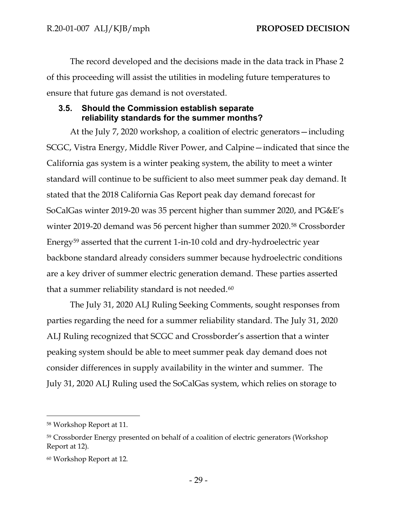The record developed and the decisions made in the data track in Phase 2 of this proceeding will assist the utilities in modeling future temperatures to ensure that future gas demand is not overstated.

#### <span id="page-31-0"></span>**3.5. Should the Commission establish separate reliability standards for the summer months?**

At the July 7, 2020 workshop, a coalition of electric generators—including SCGC, Vistra Energy, Middle River Power, and Calpine—indicated that since the California gas system is a winter peaking system, the ability to meet a winter standard will continue to be sufficient to also meet summer peak day demand. It stated that the 2018 California Gas Report peak day demand forecast for SoCalGas winter 2019-20 was 35 percent higher than summer 2020, and PG&E's winter 2019-20 demand was 56 percent higher than summer 2020.<sup>58</sup> Crossborder Energy<sup>59</sup> asserted that the current 1-in-10 cold and dry-hydroelectric year backbone standard already considers summer because hydroelectric conditions are a key driver of summer electric generation demand. These parties asserted that a summer reliability standard is not needed.<sup>60</sup>

The July 31, 2020 ALJ Ruling Seeking Comments, sought responses from parties regarding the need for a summer reliability standard. The July 31, 2020 ALJ Ruling recognized that SCGC and Crossborder's assertion that a winter peaking system should be able to meet summer peak day demand does not consider differences in supply availability in the winter and summer. The July 31, 2020 ALJ Ruling used the SoCalGas system, which relies on storage to

<sup>58</sup> Workshop Report at 11.

<sup>59</sup> Crossborder Energy presented on behalf of a coalition of electric generators (Workshop Report at 12).

<sup>60</sup> Workshop Report at 12.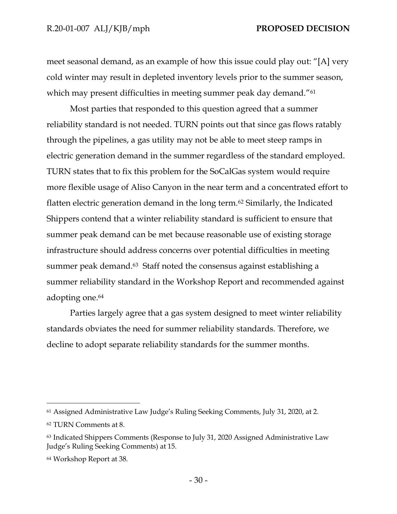meet seasonal demand, as an example of how this issue could play out: "[A] very cold winter may result in depleted inventory levels prior to the summer season, which may present difficulties in meeting summer peak day demand."<sup>61</sup>

Most parties that responded to this question agreed that a summer reliability standard is not needed. TURN points out that since gas flows ratably through the pipelines, a gas utility may not be able to meet steep ramps in electric generation demand in the summer regardless of the standard employed. TURN states that to fix this problem for the SoCalGas system would require more flexible usage of Aliso Canyon in the near term and a concentrated effort to flatten electric generation demand in the long term.<sup>62</sup> Similarly, the Indicated Shippers contend that a winter reliability standard is sufficient to ensure that summer peak demand can be met because reasonable use of existing storage infrastructure should address concerns over potential difficulties in meeting summer peak demand.<sup>63</sup> Staff noted the consensus against establishing a summer reliability standard in the Workshop Report and recommended against adopting one.<sup>64</sup>

Parties largely agree that a gas system designed to meet winter reliability standards obviates the need for summer reliability standards. Therefore, we decline to adopt separate reliability standards for the summer months.

<sup>61</sup> Assigned Administrative Law Judge's Ruling Seeking Comments, July 31, 2020, at 2. <sup>62</sup> TURN Comments at 8.

<sup>63</sup> Indicated Shippers Comments (Response to July 31, 2020 Assigned Administrative Law Judge's Ruling Seeking Comments) at 15.

<sup>64</sup> Workshop Report at 38.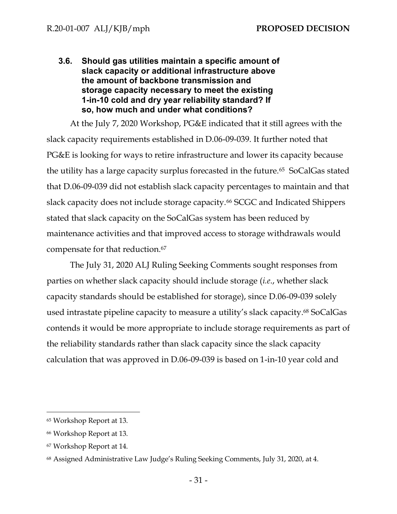<span id="page-33-0"></span>**3.6. Should gas utilities maintain a specific amount of slack capacity or additional infrastructure above the amount of backbone transmission and storage capacity necessary to meet the existing 1-in-10 cold and dry year reliability standard? If so, how much and under what conditions?** 

At the July 7, 2020 Workshop, PG&E indicated that it still agrees with the slack capacity requirements established in D.06-09-039. It further noted that PG&E is looking for ways to retire infrastructure and lower its capacity because the utility has a large capacity surplus forecasted in the future.<sup>65</sup> SoCalGas stated that D.06-09-039 did not establish slack capacity percentages to maintain and that slack capacity does not include storage capacity.<sup>66</sup> SCGC and Indicated Shippers stated that slack capacity on the SoCalGas system has been reduced by maintenance activities and that improved access to storage withdrawals would compensate for that reduction.<sup>67</sup>

The July 31, 2020 ALJ Ruling Seeking Comments sought responses from parties on whether slack capacity should include storage (*i.e*., whether slack capacity standards should be established for storage), since D.06-09-039 solely used intrastate pipeline capacity to measure a utility's slack capacity. <sup>68</sup> SoCalGas contends it would be more appropriate to include storage requirements as part of the reliability standards rather than slack capacity since the slack capacity calculation that was approved in D.06-09-039 is based on 1-in-10 year cold and

<sup>65</sup> Workshop Report at 13.

<sup>66</sup> Workshop Report at 13.

<sup>67</sup> Workshop Report at 14.

<sup>68</sup> Assigned Administrative Law Judge's Ruling Seeking Comments, July 31, 2020, at 4.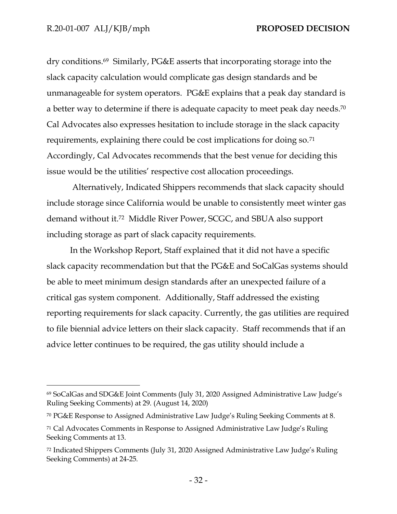dry conditions.<sup>69</sup> Similarly, PG&E asserts that incorporating storage into the slack capacity calculation would complicate gas design standards and be unmanageable for system operators. PG&E explains that a peak day standard is a better way to determine if there is adequate capacity to meet peak day needs.<sup>70</sup> Cal Advocates also expresses hesitation to include storage in the slack capacity requirements, explaining there could be cost implications for doing so.<sup>71</sup> Accordingly, Cal Advocates recommends that the best venue for deciding this issue would be the utilities' respective cost allocation proceedings.

Alternatively, Indicated Shippers recommends that slack capacity should include storage since California would be unable to consistently meet winter gas demand without it.<sup>72</sup> Middle River Power, SCGC, and SBUA also support including storage as part of slack capacity requirements.

In the Workshop Report, Staff explained that it did not have a specific slack capacity recommendation but that the PG&E and SoCalGas systems should be able to meet minimum design standards after an unexpected failure of a critical gas system component. Additionally, Staff addressed the existing reporting requirements for slack capacity. Currently, the gas utilities are required to file biennial advice letters on their slack capacity. Staff recommends that if an advice letter continues to be required, the gas utility should include a

<sup>69</sup> SoCalGas and SDG&E Joint Comments (July 31, 2020 Assigned Administrative Law Judge's Ruling Seeking Comments) at 29. (August 14, 2020)

<sup>70</sup> PG&E Response to Assigned Administrative Law Judge's Ruling Seeking Comments at 8.

<sup>71</sup> Cal Advocates Comments in Response to Assigned Administrative Law Judge's Ruling Seeking Comments at 13.

<sup>72</sup> Indicated Shippers Comments (July 31, 2020 Assigned Administrative Law Judge's Ruling Seeking Comments) at 24-25.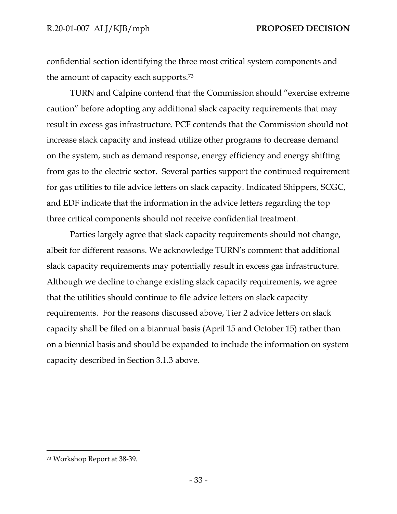confidential section identifying the three most critical system components and the amount of capacity each supports.<sup>73</sup>

TURN and Calpine contend that the Commission should "exercise extreme caution" before adopting any additional slack capacity requirements that may result in excess gas infrastructure. PCF contends that the Commission should not increase slack capacity and instead utilize other programs to decrease demand on the system, such as demand response, energy efficiency and energy shifting from gas to the electric sector. Several parties support the continued requirement for gas utilities to file advice letters on slack capacity. Indicated Shippers, SCGC, and EDF indicate that the information in the advice letters regarding the top three critical components should not receive confidential treatment.

Parties largely agree that slack capacity requirements should not change, albeit for different reasons. We acknowledge TURN's comment that additional slack capacity requirements may potentially result in excess gas infrastructure. Although we decline to change existing slack capacity requirements, we agree that the utilities should continue to file advice letters on slack capacity requirements. For the reasons discussed above, Tier 2 advice letters on slack capacity shall be filed on a biannual basis (April 15 and October 15) rather than on a biennial basis and should be expanded to include the information on system capacity described in Section 3.1.3 above.

<sup>73</sup> Workshop Report at 38-39.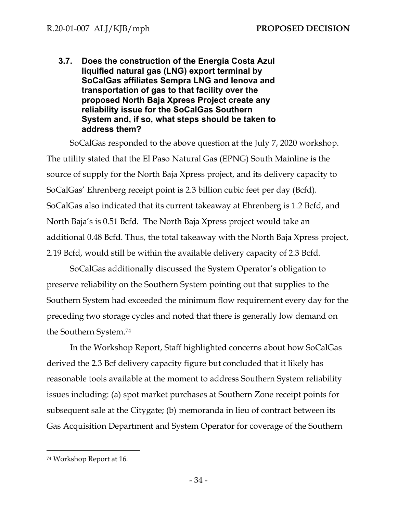<span id="page-36-0"></span>**3.7. Does the construction of the Energia Costa Azul liquified natural gas (LNG) export terminal by SoCalGas affiliates Sempra LNG and Ienova and transportation of gas to that facility over the proposed North Baja Xpress Project create any reliability issue for the SoCalGas Southern System and, if so, what steps should be taken to address them?** 

SoCalGas responded to the above question at the July 7, 2020 workshop. The utility stated that the El Paso Natural Gas (EPNG) South Mainline is the source of supply for the North Baja Xpress project, and its delivery capacity to SoCalGas' Ehrenberg receipt point is 2.3 billion cubic feet per day (Bcfd). SoCalGas also indicated that its current takeaway at Ehrenberg is 1.2 Bcfd, and North Baja's is 0.51 Bcfd. The North Baja Xpress project would take an additional 0.48 Bcfd. Thus, the total takeaway with the North Baja Xpress project, 2.19 Bcfd, would still be within the available delivery capacity of 2.3 Bcfd.

SoCalGas additionally discussed the System Operator's obligation to preserve reliability on the Southern System pointing out that supplies to the Southern System had exceeded the minimum flow requirement every day for the preceding two storage cycles and noted that there is generally low demand on the Southern System.<sup>74</sup>

In the Workshop Report, Staff highlighted concerns about how SoCalGas derived the 2.3 Bcf delivery capacity figure but concluded that it likely has reasonable tools available at the moment to address Southern System reliability issues including: (a) spot market purchases at Southern Zone receipt points for subsequent sale at the Citygate; (b) memoranda in lieu of contract between its Gas Acquisition Department and System Operator for coverage of the Southern

<sup>74</sup> Workshop Report at 16.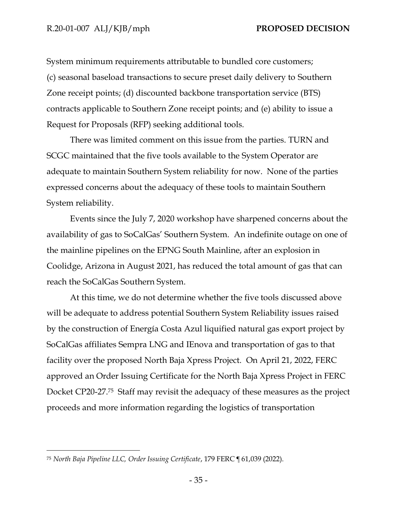System minimum requirements attributable to bundled core customers; (c) seasonal baseload transactions to secure preset daily delivery to Southern Zone receipt points; (d) discounted backbone transportation service (BTS) contracts applicable to Southern Zone receipt points; and (e) ability to issue a Request for Proposals (RFP) seeking additional tools.

There was limited comment on this issue from the parties. TURN and SCGC maintained that the five tools available to the System Operator are adequate to maintain Southern System reliability for now. None of the parties expressed concerns about the adequacy of these tools to maintain Southern System reliability.

Events since the July 7, 2020 workshop have sharpened concerns about the availability of gas to SoCalGas' Southern System. An indefinite outage on one of the mainline pipelines on the EPNG South Mainline, after an explosion in Coolidge, Arizona in August 2021, has reduced the total amount of gas that can reach the SoCalGas Southern System.

At this time, we do not determine whether the five tools discussed above will be adequate to address potential Southern System Reliability issues raised by the construction of Energía Costa Azul liquified natural gas export project by SoCalGas affiliates Sempra LNG and IEnova and transportation of gas to that facility over the proposed North Baja Xpress Project. On April 21, 2022, FERC approved an Order Issuing Certificate for the North Baja Xpress Project in FERC Docket CP20-27.<sup>75</sup> Staff may revisit the adequacy of these measures as the project proceeds and more information regarding the logistics of transportation

<sup>75</sup> *North Baja Pipeline LLC, Order Issuing Certificate*, 179 FERC ¶ 61,039 (2022).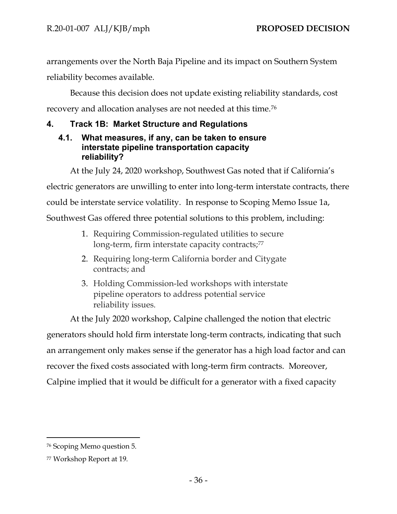arrangements over the North Baja Pipeline and its impact on Southern System reliability becomes available.

Because this decision does not update existing reliability standards, cost recovery and allocation analyses are not needed at this time.<sup>76</sup>

# <span id="page-38-0"></span>**4. Track 1B: Market Structure and Regulations**

### <span id="page-38-1"></span>**4.1. What measures, if any, can be taken to ensure interstate pipeline transportation capacity reliability?**

At the July 24, 2020 workshop, Southwest Gas noted that if California's

electric generators are unwilling to enter into long-term interstate contracts, there

could be interstate service volatility. In response to Scoping Memo Issue 1a,

Southwest Gas offered three potential solutions to this problem, including:

- 1. Requiring Commission-regulated utilities to secure long-term, firm interstate capacity contracts;77
- 2. Requiring long-term California border and Citygate contracts; and
- 3. Holding Commission-led workshops with interstate pipeline operators to address potential service reliability issues.

At the July 2020 workshop, Calpine challenged the notion that electric generators should hold firm interstate long-term contracts, indicating that such an arrangement only makes sense if the generator has a high load factor and can recover the fixed costs associated with long-term firm contracts. Moreover, Calpine implied that it would be difficult for a generator with a fixed capacity

<sup>76</sup> Scoping Memo question 5.

<sup>77</sup> Workshop Report at 19.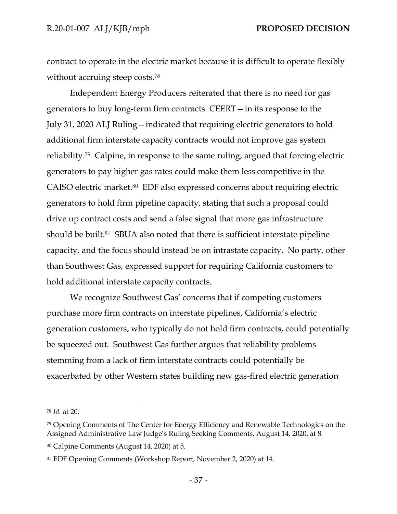contract to operate in the electric market because it is difficult to operate flexibly without accruing steep costs.<sup>78</sup>

Independent Energy Producers reiterated that there is no need for gas generators to buy long-term firm contracts. CEERT—in its response to the July 31, 2020 ALJ Ruling—indicated that requiring electric generators to hold additional firm interstate capacity contracts would not improve gas system reliability.<sup>79</sup> Calpine, in response to the same ruling, argued that forcing electric generators to pay higher gas rates could make them less competitive in the CAISO electric market.<sup>80</sup> EDF also expressed concerns about requiring electric generators to hold firm pipeline capacity, stating that such a proposal could drive up contract costs and send a false signal that more gas infrastructure should be built.<sup>81</sup> SBUA also noted that there is sufficient interstate pipeline capacity, and the focus should instead be on intrastate capacity. No party, other than Southwest Gas, expressed support for requiring California customers to hold additional interstate capacity contracts.

We recognize Southwest Gas' concerns that if competing customers purchase more firm contracts on interstate pipelines, California's electric generation customers, who typically do not hold firm contracts, could potentially be squeezed out. Southwest Gas further argues that reliability problems stemming from a lack of firm interstate contracts could potentially be exacerbated by other Western states building new gas-fired electric generation

<sup>78</sup> *Id.* at 20.

<sup>79</sup> Opening Comments of The Center for Energy Efficiency and Renewable Technologies on the Assigned Administrative Law Judge's Ruling Seeking Comments, August 14, 2020, at 8.

<sup>80</sup> Calpine Comments (August 14, 2020) at 5.

<sup>81</sup> EDF Opening Comments (Workshop Report, November 2, 2020) at 14.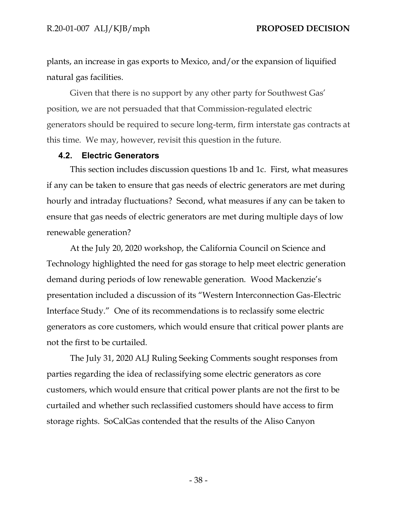plants, an increase in gas exports to Mexico, and/or the expansion of liquified natural gas facilities.

Given that there is no support by any other party for Southwest Gas' position, we are not persuaded that that Commission-regulated electric generators should be required to secure long-term, firm interstate gas contracts at this time. We may, however, revisit this question in the future.

#### <span id="page-40-0"></span>**4.2. Electric Generators**

This section includes discussion questions 1b and 1c. First, what measures if any can be taken to ensure that gas needs of electric generators are met during hourly and intraday fluctuations? Second, what measures if any can be taken to ensure that gas needs of electric generators are met during multiple days of low renewable generation?

At the July 20, 2020 workshop, the California Council on Science and Technology highlighted the need for gas storage to help meet electric generation demand during periods of low renewable generation. Wood Mackenzie's presentation included a discussion of its "Western Interconnection Gas-Electric Interface Study." One of its recommendations is to reclassify some electric generators as core customers, which would ensure that critical power plants are not the first to be curtailed.

The July 31, 2020 ALJ Ruling Seeking Comments sought responses from parties regarding the idea of reclassifying some electric generators as core customers, which would ensure that critical power plants are not the first to be curtailed and whether such reclassified customers should have access to firm storage rights. SoCalGas contended that the results of the Aliso Canyon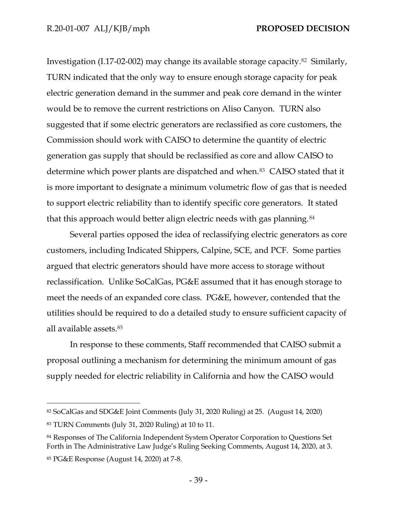Investigation (I.17-02-002) may change its available storage capacity.<sup>82</sup> Similarly, TURN indicated that the only way to ensure enough storage capacity for peak electric generation demand in the summer and peak core demand in the winter would be to remove the current restrictions on Aliso Canyon. TURN also suggested that if some electric generators are reclassified as core customers, the Commission should work with CAISO to determine the quantity of electric generation gas supply that should be reclassified as core and allow CAISO to determine which power plants are dispatched and when.<sup>83</sup> CAISO stated that it is more important to designate a minimum volumetric flow of gas that is needed to support electric reliability than to identify specific core generators. It stated that this approach would better align electric needs with gas planning.<sup>84</sup>

Several parties opposed the idea of reclassifying electric generators as core customers, including Indicated Shippers, Calpine, SCE, and PCF. Some parties argued that electric generators should have more access to storage without reclassification. Unlike SoCalGas, PG&E assumed that it has enough storage to meet the needs of an expanded core class. PG&E, however, contended that the utilities should be required to do a detailed study to ensure sufficient capacity of all available assets.<sup>85</sup>

In response to these comments, Staff recommended that CAISO submit a proposal outlining a mechanism for determining the minimum amount of gas supply needed for electric reliability in California and how the CAISO would

<sup>82</sup> SoCalGas and SDG&E Joint Comments (July 31, 2020 Ruling) at 25. (August 14, 2020)

<sup>83</sup> TURN Comments (July 31, 2020 Ruling) at 10 to 11.

<sup>84</sup> Responses of The California Independent System Operator Corporation to Questions Set Forth in The Administrative Law Judge's Ruling Seeking Comments, August 14, 2020, at 3. <sup>85</sup> PG&E Response (August 14, 2020) at 7-8.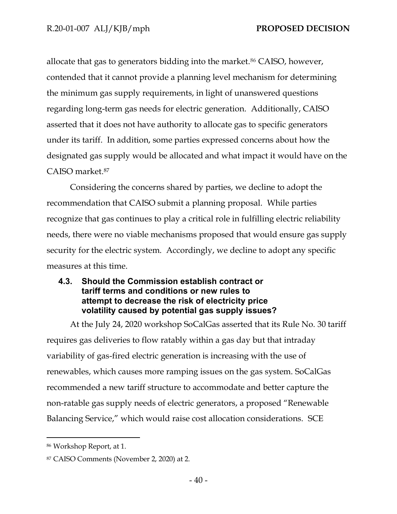allocate that gas to generators bidding into the market.<sup>86</sup> CAISO, however, contended that it cannot provide a planning level mechanism for determining the minimum gas supply requirements, in light of unanswered questions regarding long-term gas needs for electric generation. Additionally, CAISO asserted that it does not have authority to allocate gas to specific generators under its tariff. In addition, some parties expressed concerns about how the designated gas supply would be allocated and what impact it would have on the CAISO market.<sup>87</sup>

Considering the concerns shared by parties, we decline to adopt the recommendation that CAISO submit a planning proposal. While parties recognize that gas continues to play a critical role in fulfilling electric reliability needs, there were no viable mechanisms proposed that would ensure gas supply security for the electric system. Accordingly, we decline to adopt any specific measures at this time.

# <span id="page-42-0"></span>**4.3. Should the Commission establish contract or tariff terms and conditions or new rules to attempt to decrease the risk of electricity price volatility caused by potential gas supply issues?**

At the July 24, 2020 workshop SoCalGas asserted that its Rule No. 30 tariff requires gas deliveries to flow ratably within a gas day but that intraday variability of gas-fired electric generation is increasing with the use of renewables, which causes more ramping issues on the gas system. SoCalGas recommended a new tariff structure to accommodate and better capture the non-ratable gas supply needs of electric generators, a proposed "Renewable Balancing Service," which would raise cost allocation considerations. SCE

<sup>86</sup> Workshop Report, at 1.

<sup>87</sup> CAISO Comments (November 2, 2020) at 2.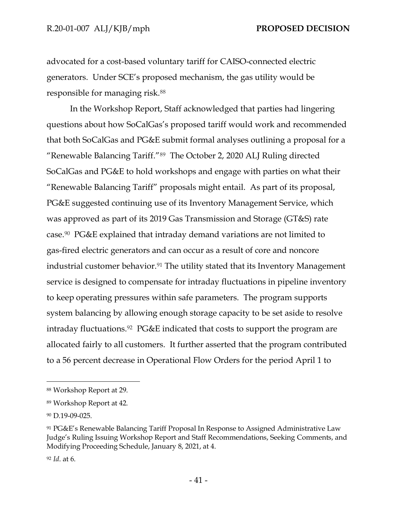advocated for a cost-based voluntary tariff for CAISO-connected electric generators. Under SCE's proposed mechanism, the gas utility would be responsible for managing risk.<sup>88</sup>

In the Workshop Report, Staff acknowledged that parties had lingering questions about how SoCalGas's proposed tariff would work and recommended that both SoCalGas and PG&E submit formal analyses outlining a proposal for a "Renewable Balancing Tariff."<sup>89</sup> The October 2, 2020 ALJ Ruling directed SoCalGas and PG&E to hold workshops and engage with parties on what their "Renewable Balancing Tariff" proposals might entail. As part of its proposal, PG&E suggested continuing use of its Inventory Management Service, which was approved as part of its 2019 Gas Transmission and Storage (GT&S) rate case. <sup>90</sup> PG&E explained that intraday demand variations are not limited to gas-fired electric generators and can occur as a result of core and noncore industrial customer behavior.<sup>91</sup> The utility stated that its Inventory Management service is designed to compensate for intraday fluctuations in pipeline inventory to keep operating pressures within safe parameters. The program supports system balancing by allowing enough storage capacity to be set aside to resolve intraday fluctuations.<sup>92</sup> PG&E indicated that costs to support the program are allocated fairly to all customers. It further asserted that the program contributed to a 56 percent decrease in Operational Flow Orders for the period April 1 to

<sup>88</sup> Workshop Report at 29.

<sup>89</sup> Workshop Report at 42.

<sup>90</sup> D.19-09-025.

<sup>91</sup> PG&E's Renewable Balancing Tariff Proposal In Response to Assigned Administrative Law Judge's Ruling Issuing Workshop Report and Staff Recommendations, Seeking Comments, and Modifying Proceeding Schedule, January 8, 2021, at 4.

<sup>92</sup> *Id*. at 6.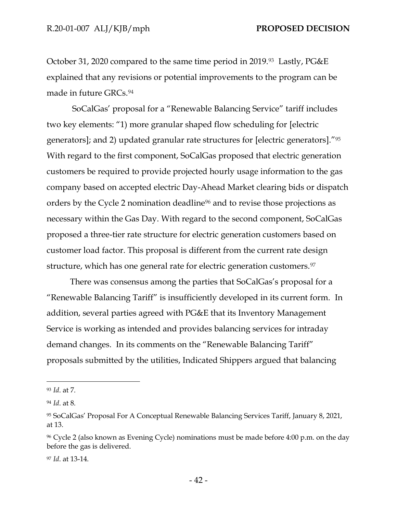October 31, 2020 compared to the same time period in 2019.<sup>93</sup> Lastly, PG&E explained that any revisions or potential improvements to the program can be made in future GRCs.<sup>94</sup>

SoCalGas' proposal for a "Renewable Balancing Service" tariff includes two key elements: "1) more granular shaped flow scheduling for [electric generators]; and 2) updated granular rate structures for [electric generators]."<sup>95</sup> With regard to the first component, SoCalGas proposed that electric generation customers be required to provide projected hourly usage information to the gas company based on accepted electric Day-Ahead Market clearing bids or dispatch orders by the Cycle 2 nomination deadline<sup>96</sup> and to revise those projections as necessary within the Gas Day. With regard to the second component, SoCalGas proposed a three-tier rate structure for electric generation customers based on customer load factor. This proposal is different from the current rate design structure, which has one general rate for electric generation customers.<sup>97</sup>

There was consensus among the parties that SoCalGas's proposal for a "Renewable Balancing Tariff" is insufficiently developed in its current form. In addition, several parties agreed with PG&E that its Inventory Management Service is working as intended and provides balancing services for intraday demand changes. In its comments on the "Renewable Balancing Tariff" proposals submitted by the utilities, Indicated Shippers argued that balancing

<sup>93</sup> *Id*. at 7.

<sup>94</sup> *Id*. at 8.

<sup>95</sup> SoCalGas' Proposal For A Conceptual Renewable Balancing Services Tariff, January 8, 2021, at 13.

<sup>96</sup> Cycle 2 (also known as Evening Cycle) nominations must be made before 4:00 p.m. on the day before the gas is delivered.

<sup>97</sup> *Id*. at 13-14.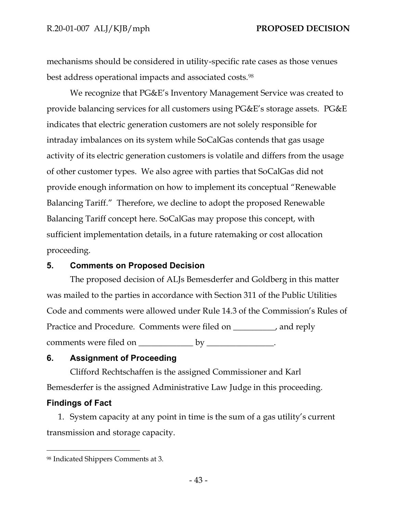mechanisms should be considered in utility-specific rate cases as those venues best address operational impacts and associated costs.<sup>98</sup>

We recognize that PG&E's Inventory Management Service was created to provide balancing services for all customers using PG&E's storage assets. PG&E indicates that electric generation customers are not solely responsible for intraday imbalances on its system while SoCalGas contends that gas usage activity of its electric generation customers is volatile and differs from the usage of other customer types. We also agree with parties that SoCalGas did not provide enough information on how to implement its conceptual "Renewable Balancing Tariff." Therefore, we decline to adopt the proposed Renewable Balancing Tariff concept here. SoCalGas may propose this concept, with sufficient implementation details, in a future ratemaking or cost allocation proceeding.

#### <span id="page-45-0"></span>**5. Comments on Proposed Decision**

The proposed decision of ALJs Bemesderfer and Goldberg in this matter was mailed to the parties in accordance with Section 311 of the Public Utilities Code and comments were allowed under Rule 14.3 of the Commission's Rules of Practice and Procedure. Comments were filed on \_\_\_\_\_\_\_\_, and reply comments were filed on \_\_\_\_\_\_\_\_\_\_\_\_\_\_\_ by \_\_\_\_\_\_\_\_\_\_\_\_\_\_.

# <span id="page-45-1"></span>**6. Assignment of Proceeding**

Clifford Rechtschaffen is the assigned Commissioner and Karl Bemesderfer is the assigned Administrative Law Judge in this proceeding.

# <span id="page-45-2"></span>**Findings of Fact**

1. System capacity at any point in time is the sum of a gas utility's current transmission and storage capacity.

<sup>98</sup> Indicated Shippers Comments at 3.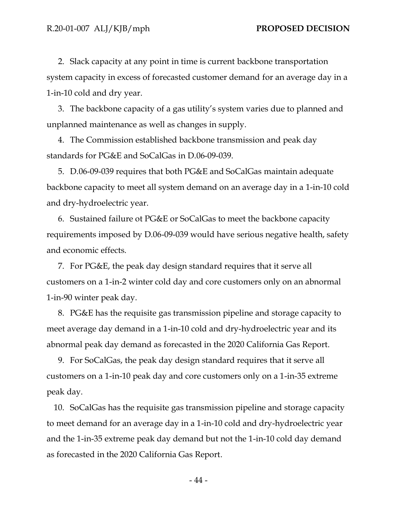2. Slack capacity at any point in time is current backbone transportation system capacity in excess of forecasted customer demand for an average day in a 1-in-10 cold and dry year.

3. The backbone capacity of a gas utility's system varies due to planned and unplanned maintenance as well as changes in supply.

4. The Commission established backbone transmission and peak day standards for PG&E and SoCalGas in D.06-09-039.

5. D.06-09-039 requires that both PG&E and SoCalGas maintain adequate backbone capacity to meet all system demand on an average day in a 1-in-10 cold and dry-hydroelectric year.

6. Sustained failure ot PG&E or SoCalGas to meet the backbone capacity requirements imposed by D.06-09-039 would have serious negative health, safety and economic effects.

7. For PG&E, the peak day design standard requires that it serve all customers on a 1-in-2 winter cold day and core customers only on an abnormal 1-in-90 winter peak day.

8. PG&E has the requisite gas transmission pipeline and storage capacity to meet average day demand in a 1-in-10 cold and dry-hydroelectric year and its abnormal peak day demand as forecasted in the 2020 California Gas Report.

9. For SoCalGas, the peak day design standard requires that it serve all customers on a 1-in-10 peak day and core customers only on a 1-in-35 extreme peak day.

10. SoCalGas has the requisite gas transmission pipeline and storage capacity to meet demand for an average day in a 1-in-10 cold and dry-hydroelectric year and the 1-in-35 extreme peak day demand but not the 1-in-10 cold day demand as forecasted in the 2020 California Gas Report.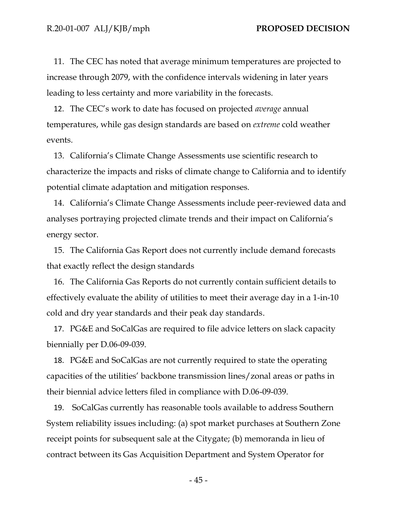11. The CEC has noted that average minimum temperatures are projected to increase through 2079, with the confidence intervals widening in later years leading to less certainty and more variability in the forecasts.

12. The CEC's work to date has focused on projected *average* annual temperatures, while gas design standards are based on *extreme* cold weather events.

13. California's Climate Change Assessments use scientific research to characterize the impacts and risks of climate change to California and to identify potential climate adaptation and mitigation responses.

14. California's Climate Change Assessments include peer-reviewed data and analyses portraying projected climate trends and their impact on California's energy sector.

15. The California Gas Report does not currently include demand forecasts that exactly reflect the design standards

16. The California Gas Reports do not currently contain sufficient details to effectively evaluate the ability of utilities to meet their average day in a 1-in-10 cold and dry year standards and their peak day standards.

17. PG&E and SoCalGas are required to file advice letters on slack capacity biennially per D.06-09-039.

18. PG&E and SoCalGas are not currently required to state the operating capacities of the utilities' backbone transmission lines/zonal areas or paths in their biennial advice letters filed in compliance with D.06-09-039.

19. SoCalGas currently has reasonable tools available to address Southern System reliability issues including: (a) spot market purchases at Southern Zone receipt points for subsequent sale at the Citygate; (b) memoranda in lieu of contract between its Gas Acquisition Department and System Operator for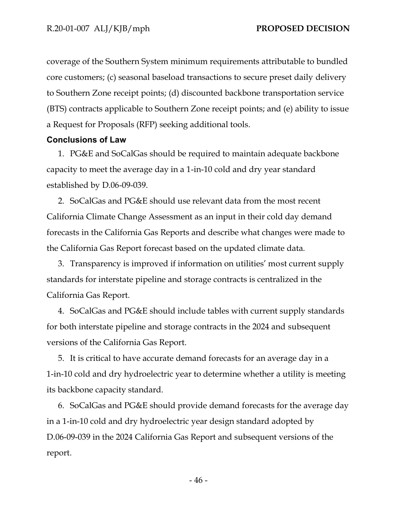coverage of the Southern System minimum requirements attributable to bundled core customers; (c) seasonal baseload transactions to secure preset daily delivery to Southern Zone receipt points; (d) discounted backbone transportation service (BTS) contracts applicable to Southern Zone receipt points; and (e) ability to issue a Request for Proposals (RFP) seeking additional tools.

#### <span id="page-48-0"></span>**Conclusions of Law**

1. PG&E and SoCalGas should be required to maintain adequate backbone capacity to meet the average day in a 1-in-10 cold and dry year standard established by D.06-09-039.

2. SoCalGas and PG&E should use relevant data from the most recent California Climate Change Assessment as an input in their cold day demand forecasts in the California Gas Reports and describe what changes were made to the California Gas Report forecast based on the updated climate data.

3. Transparency is improved if information on utilities' most current supply standards for interstate pipeline and storage contracts is centralized in the California Gas Report.

4. SoCalGas and PG&E should include tables with current supply standards for both interstate pipeline and storage contracts in the 2024 and subsequent versions of the California Gas Report.

5. It is critical to have accurate demand forecasts for an average day in a 1-in-10 cold and dry hydroelectric year to determine whether a utility is meeting its backbone capacity standard.

6. SoCalGas and PG&E should provide demand forecasts for the average day in a 1-in-10 cold and dry hydroelectric year design standard adopted by D.06-09-039 in the 2024 California Gas Report and subsequent versions of the report.

- 46 -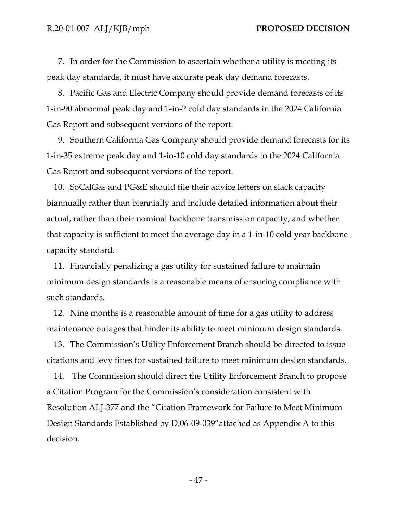7. In order for the Commission to ascertain whether a utility is meeting its peak day standards, it must have accurate peak day demand forecasts.

8. Pacific Gas and Electric Company should provide demand forecasts of its 1-in-90 abnormal peak day and 1-in-2 cold day standards in the 2024 California Gas Report and subsequent versions of the report.

9. Southern California Gas Company should provide demand forecasts for its 1-in-35 extreme peak day and 1-in-10 cold day standards in the 2024 California Gas Report and subsequent versions of the report.

10. SoCalGas and PG&E should file their advice letters on slack capacity biannually rather than biennially and include detailed information about their actual, rather than their nominal backbone transmission capacity, and whether that capacity is sufficient to meet the average day in a 1-in-10 cold year backbone capacity standard.

11. Financially penalizing a gas utility for sustained failure to maintain minimum design standards is a reasonable means of ensuring compliance with such standards.

12. Nine months is a reasonable amount of time for a gas utility to address maintenance outages that hinder its ability to meet minimum design standards.

13. The Commission's Utility Enforcement Branch should be directed to issue citations and levy fines for sustained failure to meet minimum design standards.

14. The Commission should direct the Utility Enforcement Branch to propose a Citation Program for the Commission's consideration consistent with Resolution ALJ-377 and the "Citation Framework for Failure to Meet Minimum Design Standards Established by D.06-09-039"attached as Appendix A to this decision.

- 47 -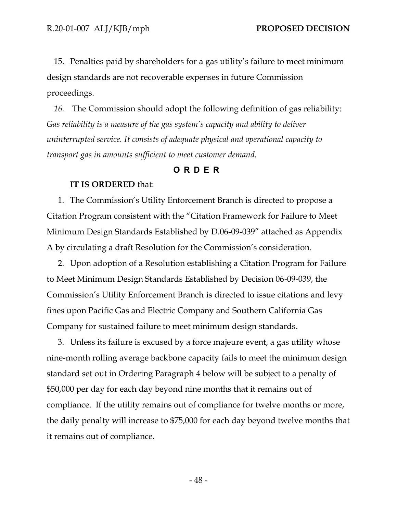15. Penalties paid by shareholders for a gas utility's failure to meet minimum design standards are not recoverable expenses in future Commission proceedings.

*16.* The Commission should adopt the following definition of gas reliability: *Gas reliability is a measure of the gas system's capacity and ability to deliver uninterrupted service. It consists of adequate physical and operational capacity to transport gas in amounts sufficient to meet customer demand.*

#### **ORDER**

#### <span id="page-50-0"></span>**IT IS ORDERED** that:

1. The Commission's Utility Enforcement Branch is directed to propose a Citation Program consistent with the "Citation Framework for Failure to Meet Minimum Design Standards Established by D.06-09-039" attached as Appendix A by circulating a draft Resolution for the Commission's consideration.

2. Upon adoption of a Resolution establishing a Citation Program for Failure to Meet Minimum Design Standards Established by Decision 06-09-039, the Commission's Utility Enforcement Branch is directed to issue citations and levy fines upon Pacific Gas and Electric Company and Southern California Gas Company for sustained failure to meet minimum design standards.

3. Unless its failure is excused by a force majeure event, a gas utility whose nine-month rolling average backbone capacity fails to meet the minimum design standard set out in Ordering Paragraph 4 below will be subject to a penalty of \$50,000 per day for each day beyond nine months that it remains out of compliance. If the utility remains out of compliance for twelve months or more, the daily penalty will increase to \$75,000 for each day beyond twelve months that it remains out of compliance.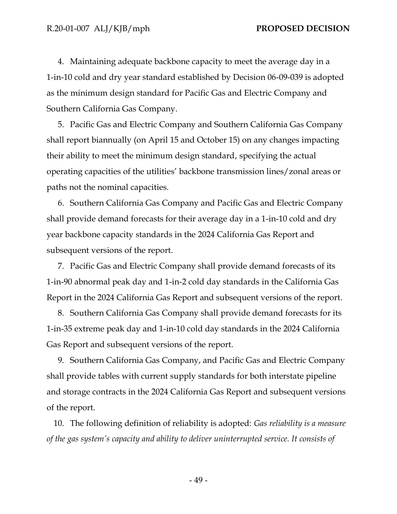4. Maintaining adequate backbone capacity to meet the average day in a 1-in-10 cold and dry year standard established by Decision 06-09-039 is adopted as the minimum design standard for Pacific Gas and Electric Company and Southern California Gas Company.

5. Pacific Gas and Electric Company and Southern California Gas Company shall report biannually (on April 15 and October 15) on any changes impacting their ability to meet the minimum design standard, specifying the actual operating capacities of the utilities' backbone transmission lines/zonal areas or paths not the nominal capacities.

6. Southern California Gas Company and Pacific Gas and Electric Company shall provide demand forecasts for their average day in a 1-in-10 cold and dry year backbone capacity standards in the 2024 California Gas Report and subsequent versions of the report.

7. Pacific Gas and Electric Company shall provide demand forecasts of its 1-in-90 abnormal peak day and 1-in-2 cold day standards in the California Gas Report in the 2024 California Gas Report and subsequent versions of the report.

8. Southern California Gas Company shall provide demand forecasts for its 1-in-35 extreme peak day and 1-in-10 cold day standards in the 2024 California Gas Report and subsequent versions of the report.

9. Southern California Gas Company, and Pacific Gas and Electric Company shall provide tables with current supply standards for both interstate pipeline and storage contracts in the 2024 California Gas Report and subsequent versions of the report.

10. The following definition of reliability is adopted: *Gas reliability is a measure of the gas system's capacity and ability to deliver uninterrupted service. It consists of* 

- 49 -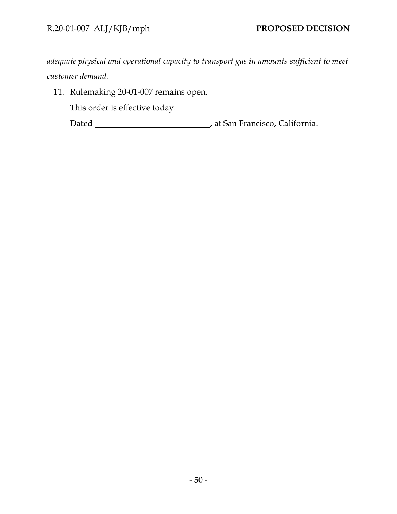*adequate physical and operational capacity to transport gas in amounts sufficient to meet customer demand.*

11. Rulemaking 20-01-007 remains open.

This order is effective today.

Dated **Material Commission**, at San Francisco, California.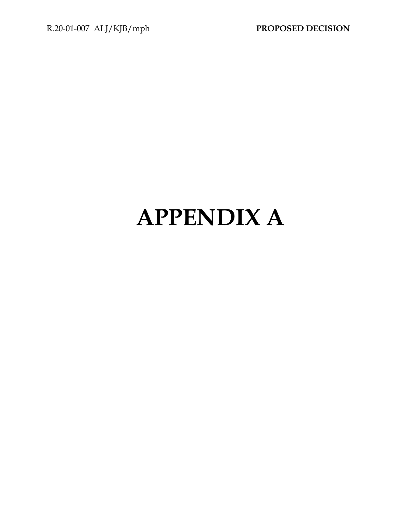# **APPENDIX A**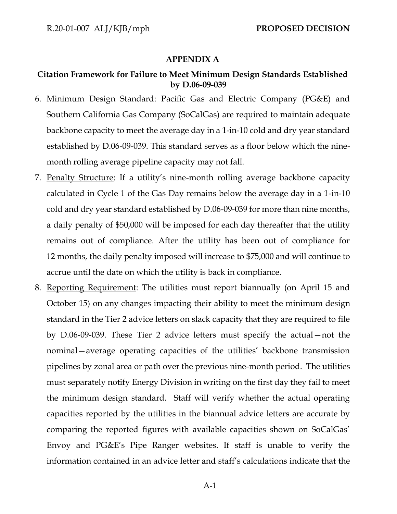#### **APPENDIX A**

#### **Citation Framework for Failure to Meet Minimum Design Standards Established by D.06-09-039**

- 6. Minimum Design Standard: Pacific Gas and Electric Company (PG&E) and Southern California Gas Company (SoCalGas) are required to maintain adequate backbone capacity to meet the average day in a 1-in-10 cold and dry year standard established by D.06-09-039. This standard serves as a floor below which the ninemonth rolling average pipeline capacity may not fall.
- 7. Penalty Structure: If a utility's nine-month rolling average backbone capacity calculated in Cycle 1 of the Gas Day remains below the average day in a 1-in-10 cold and dry year standard established by D.06-09-039 for more than nine months, a daily penalty of \$50,000 will be imposed for each day thereafter that the utility remains out of compliance. After the utility has been out of compliance for 12 months, the daily penalty imposed will increase to \$75,000 and will continue to accrue until the date on which the utility is back in compliance.
- 8. Reporting Requirement: The utilities must report biannually (on April 15 and October 15) on any changes impacting their ability to meet the minimum design standard in the Tier 2 advice letters on slack capacity that they are required to file by D.06-09-039. These Tier 2 advice letters must specify the actual—not the nominal—average operating capacities of the utilities' backbone transmission pipelines by zonal area or path over the previous nine-month period. The utilities must separately notify Energy Division in writing on the first day they fail to meet the minimum design standard. Staff will verify whether the actual operating capacities reported by the utilities in the biannual advice letters are accurate by comparing the reported figures with available capacities shown on SoCalGas' Envoy and PG&E's Pipe Ranger websites. If staff is unable to verify the information contained in an advice letter and staff's calculations indicate that the